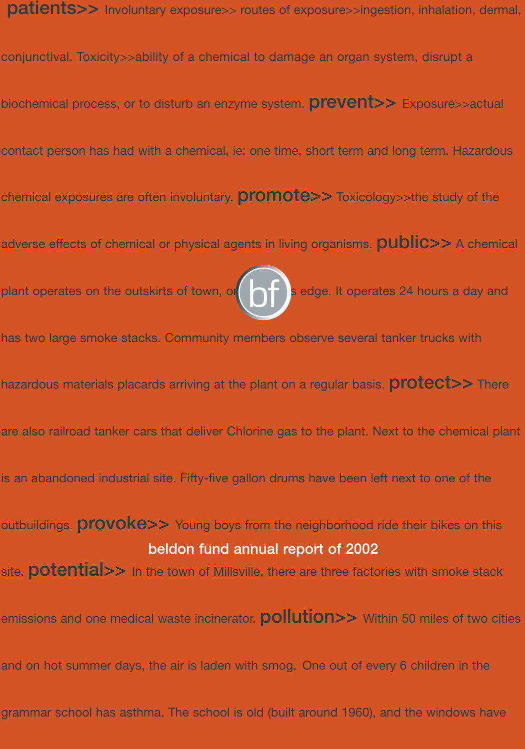patients>> Involuntary exposure>> routes of exposure>>ingestion, inhalation, dermal,

conjunctival. Toxicity>>ability of a chemical to damage an organ system, disrupt a

biochemical process, or to disturb an enzyme system. **DIGVENT>>** Exposure>>actual

contact person has had with a chemical, ie: one time, short term and long term. Hazardous

chemical exposures are often involuntary. **promote>>** Toxicology>>the study of the

adverse effects of chemical or physical agents in living organisms.  $\text{public} \geq \text{A}$  chemical



plant operates on the outskirts of town, or the river's edge. It operates 24 hours a day and

has two large smoke stacks. Community members observe several tanker trucks with

hazardous materials placards arriving at the plant on a regular basis. **protect>>** There

are also railroad tanker cars that deliver Chlorine gas to the plant. Next to the chemical plant

is an abandoned industrial site. Fifty-five gallon drums have been left next to one of the

outbuildings. **provoke>>** Young boys from the neighborhood ride their bikes on this beldon fund annual report of 2002

site. **potential>>** In the town of Millsville, there are three factories with smoke stack

emissions and one medical waste incinerator. **pollution>>** Within 50 miles of two cities

and on hot summer days, the air is laden with smog. One out of every 6 children in the

grammar school has asthma. The school is old (built around 1960), and the windows have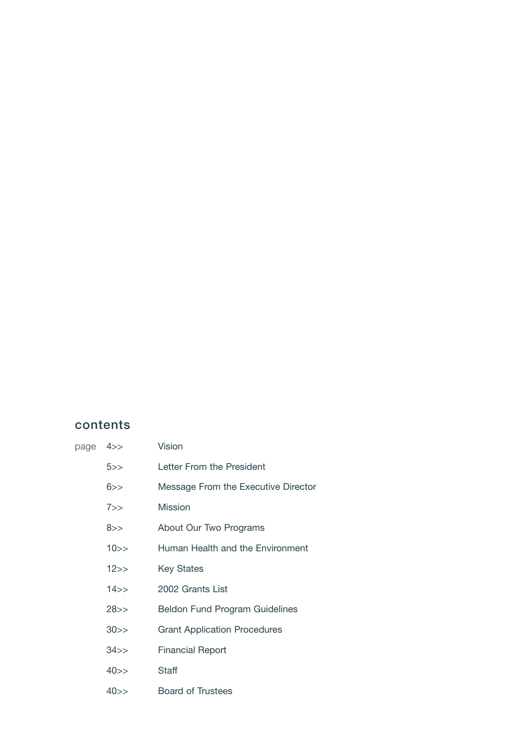## contents

| page | 4>>              | Vision                                |
|------|------------------|---------------------------------------|
|      | 5>>              | Letter From the President             |
|      | 6>>              | Message From the Executive Director   |
|      | 7>>              | <b>Mission</b>                        |
|      | 8>>              | About Our Two Programs                |
|      | 10>>             | Human Health and the Environment      |
|      | 12>>             | <b>Key States</b>                     |
|      | 14>>             | 2002 Grants List                      |
|      | 28>>             | <b>Beldon Fund Program Guidelines</b> |
|      | $30\rightarrow$  | <b>Grant Application Procedures</b>   |
|      | 34>>             | <b>Financial Report</b>               |
|      | $40 \rightarrow$ | Staff                                 |
|      | 40 >             | <b>Board of Trustees</b>              |
|      |                  |                                       |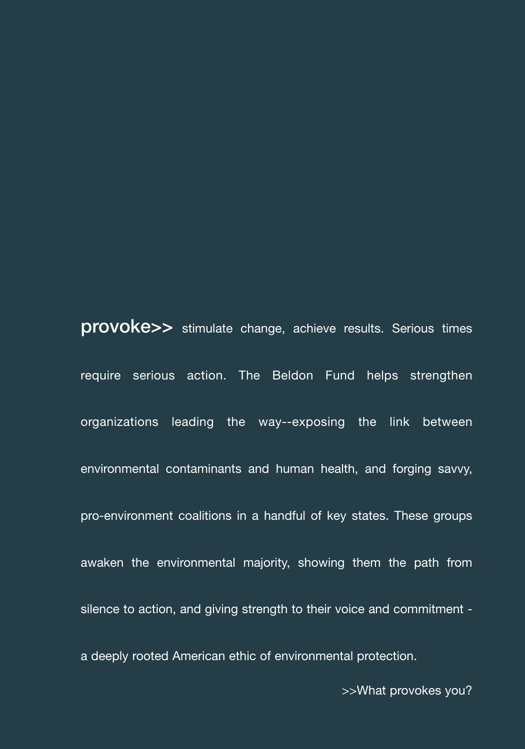provoke>> stimulate change, achieve results. Serious times require serious action. The Beldon Fund helps strengthen organizations leading the way--exposing the link between environmental contaminants and human health, and forging savvy, pro-environment coalitions in a handful of key states. These groups awaken the environmental majority, showing them the path from silence to action, and giving strength to their voice and commitment a deeply rooted American ethic of environmental protection.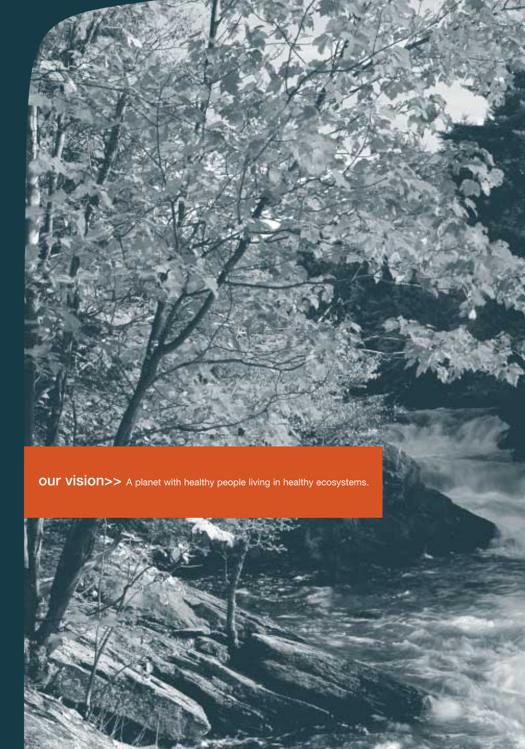**OUT VISION>>** A planet with healthy people living in healthy ecosystems.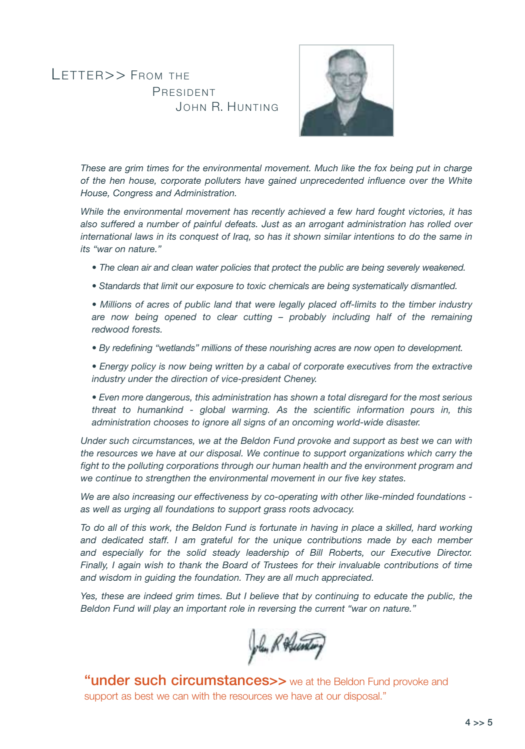## LETTER>> FROM THE PRESIDENT JOHN R. HUNTING



*These are grim times for the environmental movement. Much like the fox being put in charge of the hen house, corporate polluters have gained unprecedented influence over the White House, Congress and Administration.*

*While the environmental movement has recently achieved a few hard fought victories, it has also suffered a number of painful defeats. Just as an arrogant administration has rolled over international laws in its conquest of Iraq, so has it shown similar intentions to do the same in its "war on nature."*

- *The clean air and clean water policies that protect the public are being severely weakened.*
- *Standards that limit our exposure to toxic chemicals are being systematically dismantled.*

• Millions of acres of public land that were legally placed off-limits to the timber industry *are now being opened to clear cutting – probably including half of the remaining redwood forests.*

*• By redefining "wetlands" millions of these nourishing acres are now open to development.*

*• Energy policy is now being written by a cabal of corporate executives from the extractive industry under the direction of vice-president Cheney.*

*• Even more dangerous, this administration has shown a total disregard for the most serious threat to humankind - global warming. As the scientific information pours in, this administration chooses to ignore all signs of an oncoming world-wide disaster.*

*Under such circumstances, we at the Beldon Fund provoke and support as best we can with the resources we have at our disposal. We continue to support organizations which carry the fight to the polluting corporations through our human health and the environment program and we continue to strengthen the environmental movement in our five key states.*

*We are also increasing our effectiveness by co-operating with other like-minded foundations as well as urging all foundations to support grass roots advocacy.*

*To do all of this work, the Beldon Fund is fortunate in having in place a skilled, hard working and dedicated staff. I am grateful for the unique contributions made by each member and especially for the solid steady leadership of Bill Roberts, our Executive Director. Finally, I again wish to thank the Board of Trustees for their invaluable contributions of time and wisdom in guiding the foundation. They are all much appreciated.*

*Yes, these are indeed grim times. But I believe that by continuing to educate the public, the Beldon Fund will play an important role in reversing the current "war on nature."*

John R Hunting

"under such circumstances>> we at the Beldon Fund provoke and support as best we can with the resources we have at our disposal."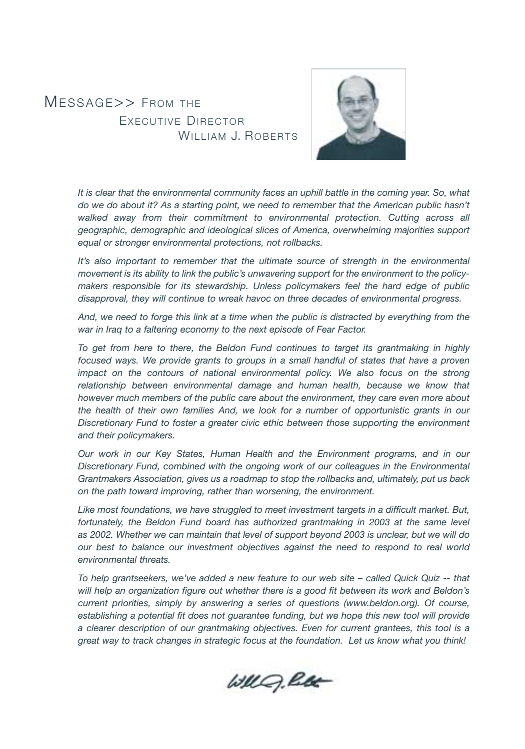# MESSAGE>> FROM THE EXECUTIVE DIRECTOR WILLIAM J. ROBERTS



*It is clear that the environmental community faces an uphill battle in the coming year. So, what do we do about it? As a starting point, we need to remember that the American public hasn't walked away from their commitment to environmental protection. Cutting across all geographic, demographic and ideological slices of America, overwhelming majorities support equal or stronger environmental protections, not rollbacks.*

*It's also important to remember that the ultimate source of strength in the environmental movement is its ability to link the public's unwavering support for the environment to the policymakers responsible for its stewardship. Unless policymakers feel the hard edge of public disapproval, they will continue to wreak havoc on three decades of environmental progress.*

*And, we need to forge this link at a time when the public is distracted by everything from the war in Iraq to a faltering economy to the next episode of Fear Factor.*

*To get from here to there, the Beldon Fund continues to target its grantmaking in highly focused ways. We provide grants to groups in a small handful of states that have a proven impact on the contours of national environmental policy. We also focus on the strong relationship between environmental damage and human health, because we know that however much members of the public care about the environment, they care even more about the health of their own families And, we look for a number of opportunistic grants in our Discretionary Fund to foster a greater civic ethic between those supporting the environment and their policymakers.*

*Our work in our Key States, Human Health and the Environment programs, and in our Discretionary Fund, combined with the ongoing work of our colleagues in the Environmental Grantmakers Association, gives us a roadmap to stop the rollbacks and, ultimately, put us back on the path toward improving, rather than worsening, the environment.*

*Like most foundations, we have struggled to meet investment targets in a difficult market. But,* fortunately, the Beldon Fund board has authorized grantmaking in 2003 at the same level *as 2002. Whether we can maintain that level of support beyond 2003 is unclear, but we will do our best to balance our investment objectives against the need to respond to real world environmental threats.*

*To help grantseekers, we've added a new feature to our web site – called Quick Quiz -- that will help an organization figure out whether there is a good fit between its work and Beldon's current priorities, simply by answering a series of questions (www.beldon.org). Of course, establishing a potential fit does not guarantee funding, but we hope this new tool will provide a clearer description of our grantmaking objectives. Even for current grantees, this tool is a great way to track changes in strategic focus at the foundation. Let us know what you think!*

WILQ. Ret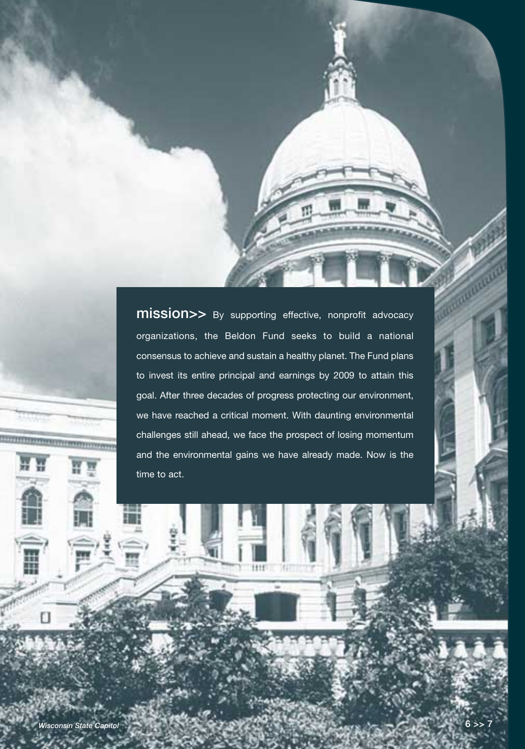mission>> By supporting effective, nonprofit advocacy organizations, the Beldon Fund seeks to build a national consensus to achieve and sustain a healthy planet. The Fund plans to invest its entire principal and earnings by 2009 to attain this goal. After three decades of progress protecting our environment, we have reached a critical moment. With daunting environmental challenges still ahead, we face the prospect of losing momentum and the environmental gains we have already made. Now is the time to act.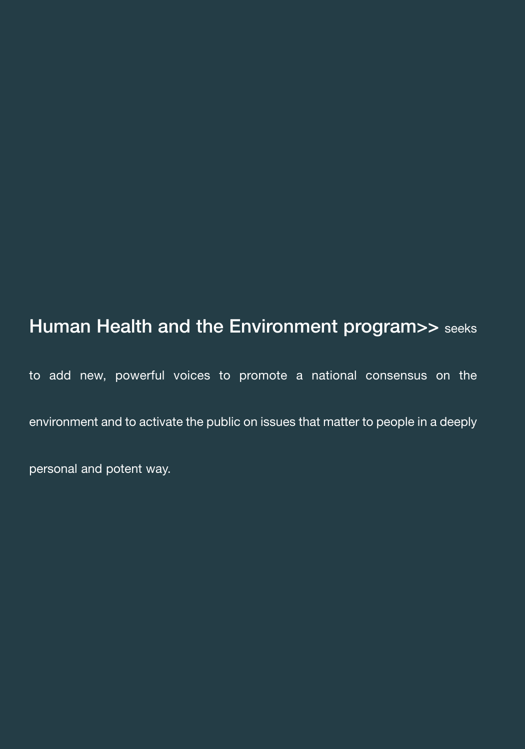# Human Health and the Environment program>> seeks

to add new, powerful voices to promote a national consensus on the environment and to activate the public on issues that matter to people in a deeply

personal and potent way.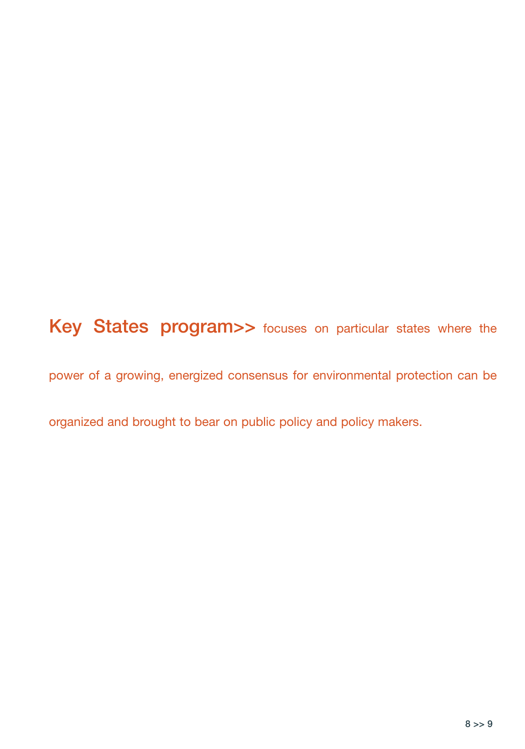Key States program>> focuses on particular states where the

power of a growing, energized consensus for environmental protection can be

organized and brought to bear on public policy and policy makers.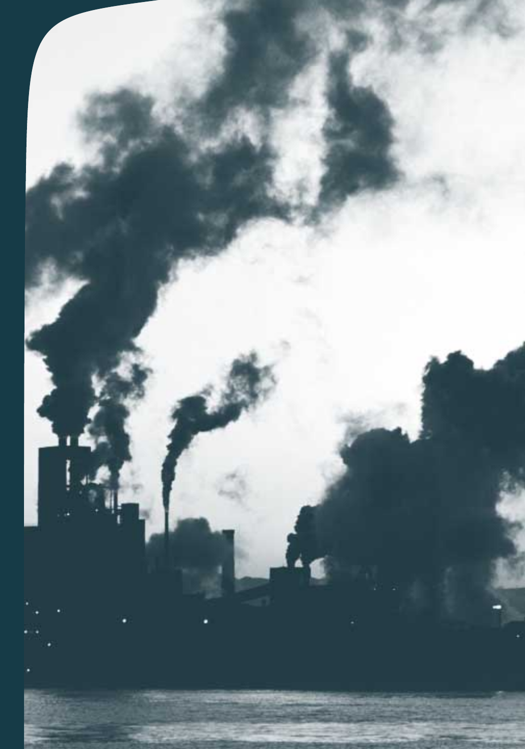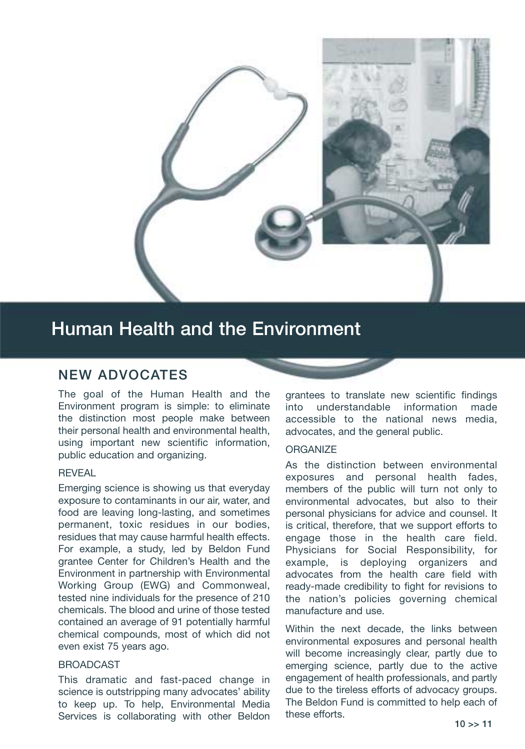

# Human Health and the Environment

# NEW ADVOCATES

The goal of the Human Health and the Environment program is simple: to eliminate the distinction most people make between their personal health and environmental health, using important new scientific information, public education and organizing.

## REVEAL

Emerging science is showing us that everyday exposure to contaminants in our air, water, and food are leaving long-lasting, and sometimes permanent, toxic residues in our bodies, residues that may cause harmful health effects. For example, a study, led by Beldon Fund grantee Center for Children's Health and the Environment in partnership with Environmental Working Group (EWG) and Commonweal, tested nine individuals for the presence of 210 chemicals. The blood and urine of those tested contained an average of 91 potentially harmful chemical compounds, most of which did not even exist 75 years ago.

## BROADCAST

This dramatic and fast-paced change in science is outstripping many advocates' ability to keep up. To help, Environmental Media Services is collaborating with other Beldon grantees to translate new scientific findings into understandable information made accessible to the national news media, advocates, and the general public.

## **ORGANIZE**

As the distinction between environmental exposures and personal health fades, members of the public will turn not only to environmental advocates, but also to their personal physicians for advice and counsel. It is critical, therefore, that we support efforts to engage those in the health care field. Physicians for Social Responsibility, for example, is deploying organizers and advocates from the health care field with ready-made credibility to fight for revisions to the nation's policies governing chemical manufacture and use.

Within the next decade, the links between environmental exposures and personal health will become increasingly clear, partly due to emerging science, partly due to the active engagement of health professionals, and partly due to the tireless efforts of advocacy groups. The Beldon Fund is committed to help each of these efforts.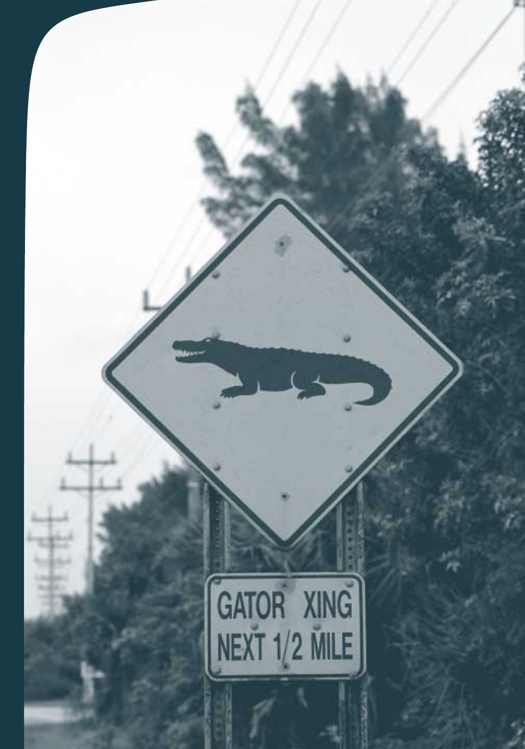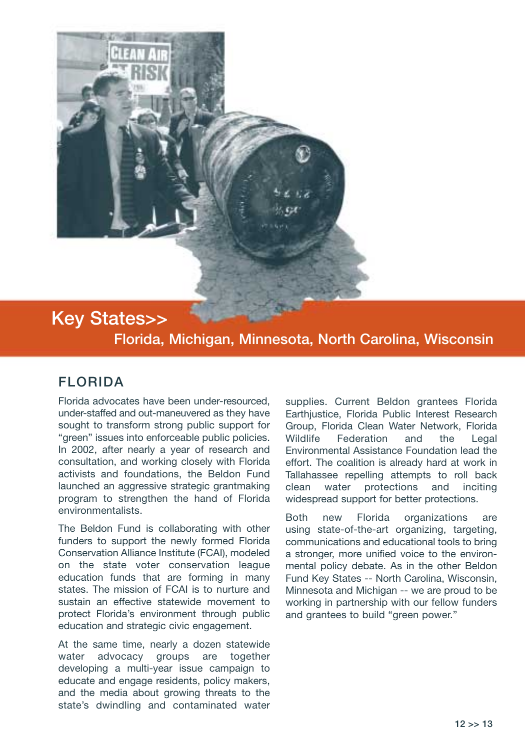# Key States>>

Florida, Michigan, Minnesota, North Carolina, Wisconsin

# FLORIDA

Florida advocates have been under-resourced, under-staffed and out-maneuvered as they have sought to transform strong public support for "green" issues into enforceable public policies. In 2002, after nearly a year of research and consultation, and working closely with Florida activists and foundations, the Beldon Fund launched an aggressive strategic grantmaking program to strengthen the hand of Florida environmentalists.

The Beldon Fund is collaborating with other funders to support the newly formed Florida Conservation Alliance Institute (FCAI), modeled on the state voter conservation league education funds that are forming in many states. The mission of FCAI is to nurture and sustain an effective statewide movement to protect Florida's environment through public education and strategic civic engagement.

At the same time, nearly a dozen statewide water advocacy groups are together developing a multi-year issue campaign to educate and engage residents, policy makers, and the media about growing threats to the state's dwindling and contaminated water

supplies. Current Beldon grantees Florida Earthjustice, Florida Public Interest Research Group, Florida Clean Water Network, Florida Wildlife Federation and the Legal Environmental Assistance Foundation lead the effort. The coalition is already hard at work in Tallahassee repelling attempts to roll back clean water protections and inciting widespread support for better protections.

Both new Florida organizations are using state-of-the-art organizing, targeting, communications and educational tools to bring a stronger, more unified voice to the environmental policy debate. As in the other Beldon Fund Key States -- North Carolina, Wisconsin, Minnesota and Michigan -- we are proud to be working in partnership with our fellow funders and grantees to build "green power."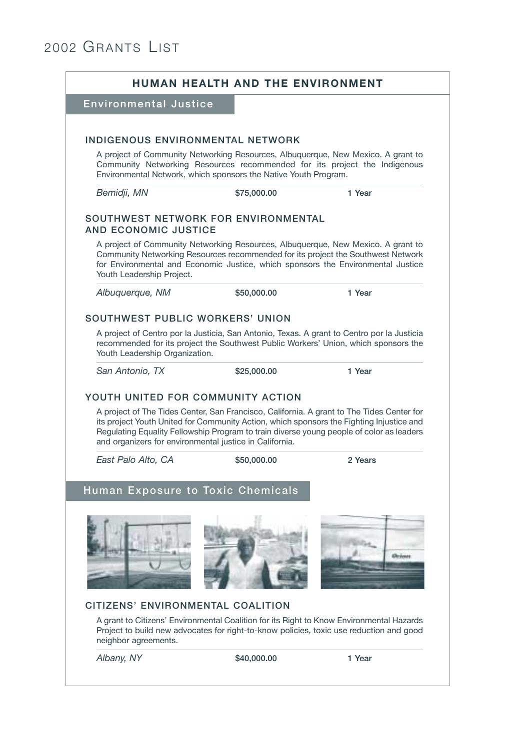# 2002 GRANTS LIST

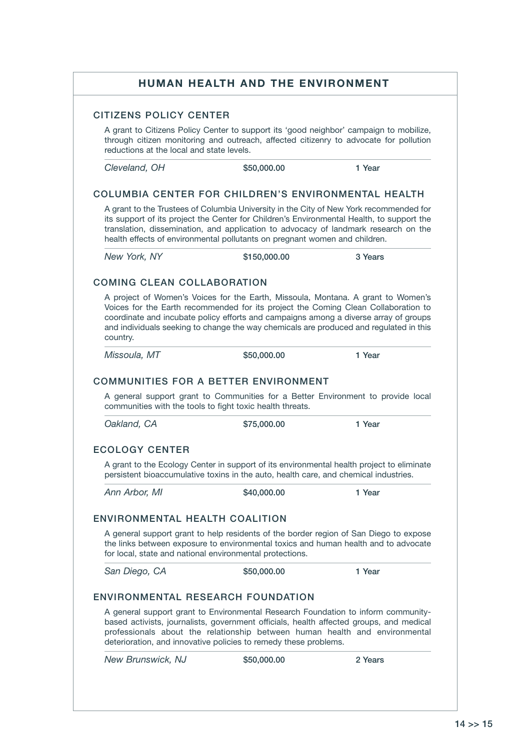## **HUMAN HEALTH AND THE ENVIRONMENT**

### CITIZENS POLICY CENTER

A grant to Citizens Policy Center to support its 'good neighbor' campaign to mobilize, through citizen monitoring and outreach, affected citizenry to advocate for pollution reductions at the local and state levels.

*Cleveland, OH* \$50,000.00 1 Year

## COLUMBIA CENTER FOR CHILDREN'S ENVIRONMENTAL HEALTH

A grant to the Trustees of Columbia University in the City of New York recommended for its support of its project the Center for Children's Environmental Health, to support the translation, dissemination, and application to advocacy of landmark research on the health effects of environmental pollutants on pregnant women and children.

*New York, NY* \$150,000.00 3 Years

## COMING CLEAN COLLABORATION

A project of Women's Voices for the Earth, Missoula, Montana. A grant to Women's Voices for the Earth recommended for its project the Coming Clean Collaboration to coordinate and incubate policy efforts and campaigns among a diverse array of groups and individuals seeking to change the way chemicals are produced and regulated in this country.

*Missoula, MT*  $$50,000.00$  1 Year

### COMMUNITIES FOR A BETTER ENVIRONMENT

A general support grant to Communities for a Better Environment to provide local communities with the tools to fight toxic health threats.

*Oakland, CA* \$75,000.00 1 Year

## ECOLOGY CENTER

A grant to the Ecology Center in support of its environmental health project to eliminate persistent bioaccumulative toxins in the auto, health care, and chemical industries.

*Ann Arbor, MI* \$40,000.00 **1 Year** 

## ENVIRONMENTAL HEALTH COALITION

A general support grant to help residents of the border region of San Diego to expose the links between exposure to environmental toxics and human health and to advocate for local, state and national environmental protections.

*San Diego, CA* \$50,000.00 1 Year

## ENVIRONMENTAL RESEARCH FOUNDATION

A general support grant to Environmental Research Foundation to inform communitybased activists, journalists, government officials, health affected groups, and medical professionals about the relationship between human health and environmental deterioration, and innovative policies to remedy these problems.

*New Brunswick, NJ* \$50,000.00 2 Years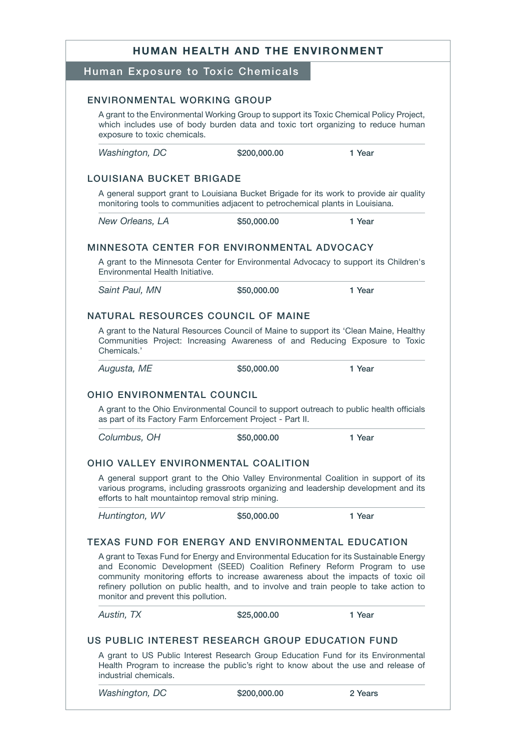|                                                                                 | <b>HUMAN HEALTH AND THE ENVIRONMENT</b> |                                                                                                                                                                                                                                                                                                                                                    |
|---------------------------------------------------------------------------------|-----------------------------------------|----------------------------------------------------------------------------------------------------------------------------------------------------------------------------------------------------------------------------------------------------------------------------------------------------------------------------------------------------|
| Human Exposure to Toxic Chemicals                                               |                                         |                                                                                                                                                                                                                                                                                                                                                    |
| <b>ENVIRONMENTAL WORKING GROUP</b>                                              |                                         |                                                                                                                                                                                                                                                                                                                                                    |
| exposure to toxic chemicals.                                                    |                                         | A grant to the Environmental Working Group to support its Toxic Chemical Policy Project,<br>which includes use of body burden data and toxic tort organizing to reduce human                                                                                                                                                                       |
| Washington, DC                                                                  | \$200,000.00                            | 1 Year                                                                                                                                                                                                                                                                                                                                             |
| LOUISIANA BUCKET BRIGADE                                                        |                                         |                                                                                                                                                                                                                                                                                                                                                    |
| monitoring tools to communities adjacent to petrochemical plants in Louisiana.  |                                         | A general support grant to Louisiana Bucket Brigade for its work to provide air quality                                                                                                                                                                                                                                                            |
| New Orleans, LA                                                                 | \$50,000.00                             | 1 Year                                                                                                                                                                                                                                                                                                                                             |
| MINNESOTA CENTER FOR ENVIRONMENTAL ADVOCACY<br>Environmental Health Initiative. |                                         | A grant to the Minnesota Center for Environmental Advocacy to support its Children's                                                                                                                                                                                                                                                               |
| Saint Paul, MN                                                                  | \$50,000.00                             | 1 Year                                                                                                                                                                                                                                                                                                                                             |
| OHIO ENVIRONMENTAL COUNCIL                                                      |                                         | A grant to the Ohio Environmental Council to support outreach to public health officials                                                                                                                                                                                                                                                           |
| as part of its Factory Farm Enforcement Project - Part II.                      |                                         |                                                                                                                                                                                                                                                                                                                                                    |
| Columbus, OH                                                                    | \$50,000.00                             | 1 Year                                                                                                                                                                                                                                                                                                                                             |
| OHIO VALLEY ENVIRONMENTAL COALITION                                             |                                         |                                                                                                                                                                                                                                                                                                                                                    |
| efforts to halt mountaintop removal strip mining.                               |                                         | A general support grant to the Ohio Valley Environmental Coalition in support of its<br>various programs, including grassroots organizing and leadership development and its                                                                                                                                                                       |
| Huntington, WV                                                                  | \$50,000.00                             | 1 Year                                                                                                                                                                                                                                                                                                                                             |
| TEXAS FUND FOR ENERGY AND ENVIRONMENTAL EDUCATION                               |                                         |                                                                                                                                                                                                                                                                                                                                                    |
| monitor and prevent this pollution.                                             |                                         | A grant to Texas Fund for Energy and Environmental Education for its Sustainable Energy<br>and Economic Development (SEED) Coalition Refinery Reform Program to use<br>community monitoring efforts to increase awareness about the impacts of toxic oil<br>refinery pollution on public health, and to involve and train people to take action to |
| Austin, TX                                                                      | \$25,000.00                             | 1 Year                                                                                                                                                                                                                                                                                                                                             |
| US PUBLIC INTEREST RESEARCH GROUP EDUCATION FUND                                |                                         |                                                                                                                                                                                                                                                                                                                                                    |
| industrial chemicals.                                                           |                                         | A grant to US Public Interest Research Group Education Fund for its Environmental<br>Health Program to increase the public's right to know about the use and release of                                                                                                                                                                            |
| Washington, DC                                                                  | \$200,000.00                            | 2 Years                                                                                                                                                                                                                                                                                                                                            |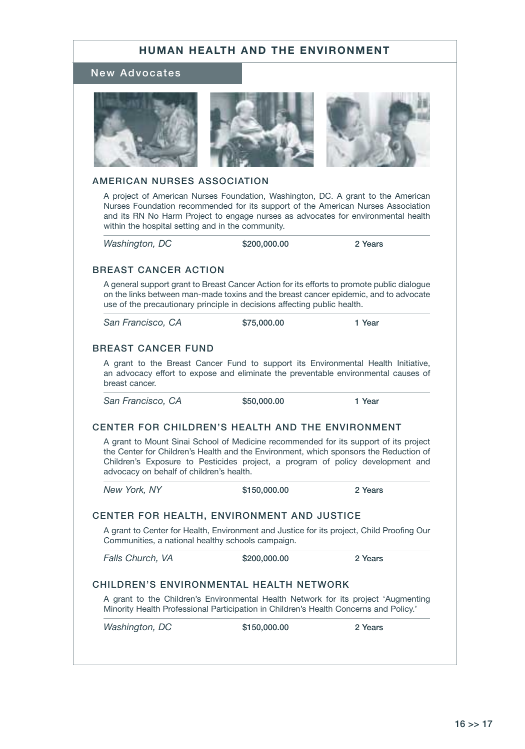## **HUMAN HEALTH AND THE ENVIRONMENT**

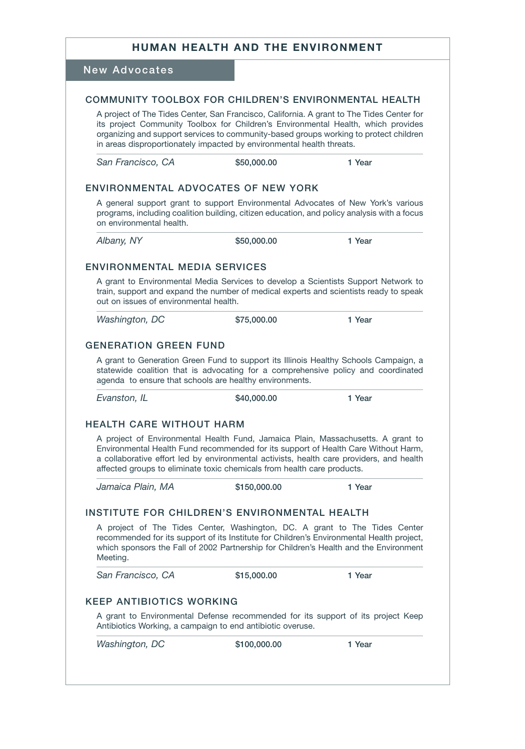|                                                   | <b>HUMAN HEALTH AND THE ENVIRONMENT</b>                                                                                                                                                                                                                                                                                                          |        |
|---------------------------------------------------|--------------------------------------------------------------------------------------------------------------------------------------------------------------------------------------------------------------------------------------------------------------------------------------------------------------------------------------------------|--------|
| <b>New Advocates</b>                              |                                                                                                                                                                                                                                                                                                                                                  |        |
|                                                   | COMMUNITY TOOLBOX FOR CHILDREN'S ENVIRONMENTAL HEALTH                                                                                                                                                                                                                                                                                            |        |
|                                                   | A project of The Tides Center, San Francisco, California. A grant to The Tides Center for<br>its project Community Toolbox for Children's Environmental Health, which provides<br>organizing and support services to community-based groups working to protect children<br>in areas disproportionately impacted by environmental health threats. |        |
| San Francisco, CA                                 | \$50,000.00                                                                                                                                                                                                                                                                                                                                      | 1 Year |
|                                                   | ENVIRONMENTAL ADVOCATES OF NEW YORK                                                                                                                                                                                                                                                                                                              |        |
| on environmental health.                          | A general support grant to support Environmental Advocates of New York's various<br>programs, including coalition building, citizen education, and policy analysis with a focus                                                                                                                                                                  |        |
| Albany, NY                                        | \$50,000.00                                                                                                                                                                                                                                                                                                                                      | 1 Year |
| ENVIRONMENTAL MEDIA SERVICES                      |                                                                                                                                                                                                                                                                                                                                                  |        |
| out on issues of environmental health.            | A grant to Environmental Media Services to develop a Scientists Support Network to<br>train, support and expand the number of medical experts and scientists ready to speak                                                                                                                                                                      |        |
|                                                   |                                                                                                                                                                                                                                                                                                                                                  |        |
| Washington, DC                                    | \$75,000.00<br>A grant to Generation Green Fund to support its Illinois Healthy Schools Campaign, a<br>statewide coalition that is advocating for a comprehensive policy and coordinated                                                                                                                                                         | 1 Year |
|                                                   | agenda to ensure that schools are healthy environments.                                                                                                                                                                                                                                                                                          |        |
| Evanston, IL                                      | \$40,000.00                                                                                                                                                                                                                                                                                                                                      | 1 Year |
| GENERATION GREEN FUND<br>HEALTH CARE WITHOUT HARM |                                                                                                                                                                                                                                                                                                                                                  |        |
|                                                   | A project of Environmental Health Fund, Jamaica Plain, Massachusetts. A grant to<br>Environmental Health Fund recommended for its support of Health Care Without Harm,<br>a collaborative effort led by environmental activists, health care providers, and health<br>affected groups to eliminate toxic chemicals from health care products.    |        |
| Jamaica Plain, MA                                 | \$150,000.00                                                                                                                                                                                                                                                                                                                                     | 1 Year |
|                                                   | INSTITUTE FOR CHILDREN'S ENVIRONMENTAL HEALTH                                                                                                                                                                                                                                                                                                    |        |
| Meeting.                                          | A project of The Tides Center, Washington, DC. A grant to The Tides Center<br>recommended for its support of its Institute for Children's Environmental Health project,<br>which sponsors the Fall of 2002 Partnership for Children's Health and the Environment                                                                                 |        |
| San Francisco, CA                                 | \$15,000.00                                                                                                                                                                                                                                                                                                                                      | 1 Year |
| KEEP ANTIBIOTICS WORKING                          |                                                                                                                                                                                                                                                                                                                                                  |        |
|                                                   | A grant to Environmental Defense recommended for its support of its project Keep<br>Antibiotics Working, a campaign to end antibiotic overuse.                                                                                                                                                                                                   |        |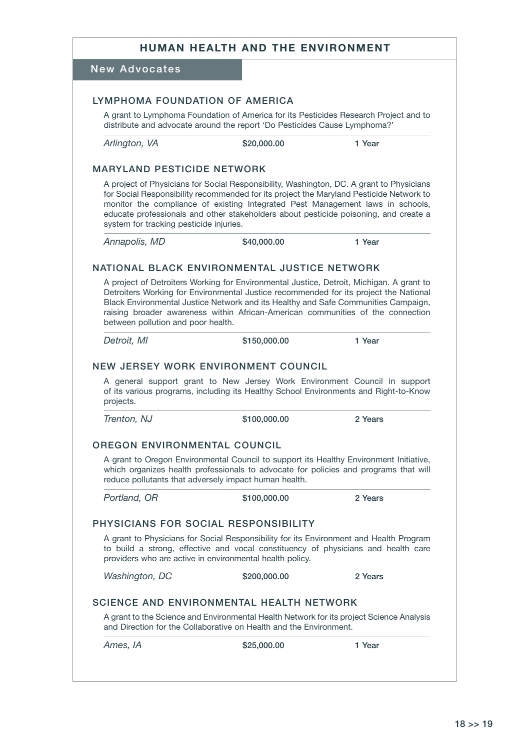## **HUMAN HEALTH AND THE ENVIRONMENT**

## New Advocates

## LYMPHOMA FOUNDATION OF AMERICA

A grant to Lymphoma Foundation of America for its Pesticides Research Project and to distribute and advocate around the report 'Do Pesticides Cause Lymphoma?'

*Arlington, VA* \$20,000.00 1 Year

## MARYLAND PESTICIDE NETWORK

A project of Physicians for Social Responsibility, Washington, DC. A grant to Physicians for Social Responsibility recommended for its project the Maryland Pesticide Network to monitor the compliance of existing Integrated Pest Management laws in schools, educate professionals and other stakeholders about pesticide poisoning, and create a system for tracking pesticide injuries.

| Annapolis, MD | \$40,000.00 | 1 Year |
|---------------|-------------|--------|
|               |             |        |

## NATIONAL BLACK ENVIRONMENTAL JUSTICE NETWORK

A project of Detroiters Working for Environmental Justice, Detroit, Michigan. A grant to Detroiters Working for Environmental Justice recommended for its project the National Black Environmental Justice Network and its Healthy and Safe Communities Campaign, raising broader awareness within African-American communities of the connection between pollution and poor health.

*Detroit, MI* \$150,000.00 **1 Year** 

### NEW JERSEY WORK ENVIRONMENT COUNCIL

A general support grant to New Jersey Work Environment Council in support of its various programs, including its Healthy School Environments and Right-to-Know projects.

*Trenton, NJ* \$100,000.00 2 Years

## OREGON ENVIRONMENTAL COUNCIL

A grant to Oregon Environmental Council to support its Healthy Environment Initiative, which organizes health professionals to advocate for policies and programs that will reduce pollutants that adversely impact human health.

| Portland, OR |  |  |  |
|--------------|--|--|--|
|--------------|--|--|--|

*Portland, OR* \$100,000.00 2 Years

## PHYSICIANS FOR SOCIAL RESPONSIBILITY

A grant to Physicians for Social Responsibility for its Environment and Health Program to build a strong, effective and vocal constituency of physicians and health care providers who are active in environmental health policy.

*Washington, DC* \$200,000.00 2 Years

## SCIENCE AND ENVIRONMENTAL HEALTH NETWORK

A grant to the Science and Environmental Health Network for its project Science Analysis and Direction for the Collaborative on Health and the Environment.

*Ames, IA* \$25,000.00 **1 Year**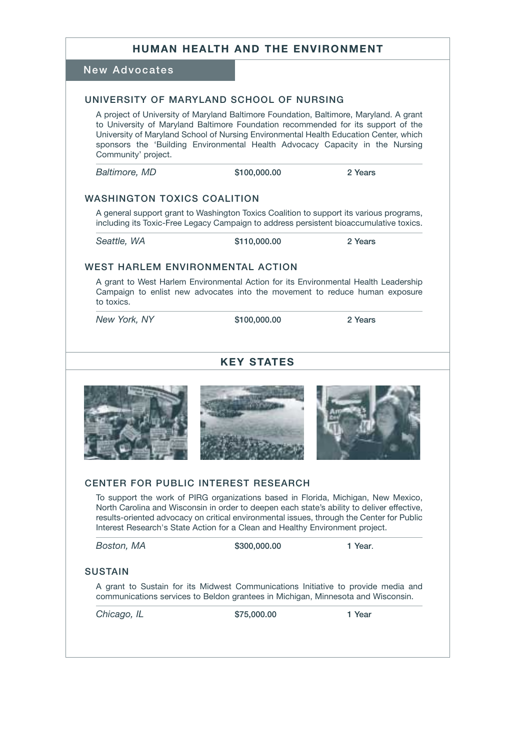|                                    | <b>HUMAN HEALTH AND THE ENVIRONMENT</b>                                                                                                                                                                                                                                                                                                              |         |
|------------------------------------|------------------------------------------------------------------------------------------------------------------------------------------------------------------------------------------------------------------------------------------------------------------------------------------------------------------------------------------------------|---------|
| <b>New Advocates</b>               |                                                                                                                                                                                                                                                                                                                                                      |         |
|                                    | UNIVERSITY OF MARYLAND SCHOOL OF NURSING                                                                                                                                                                                                                                                                                                             |         |
| Community' project.                | A project of University of Maryland Baltimore Foundation, Baltimore, Maryland. A grant<br>to University of Maryland Baltimore Foundation recommended for its support of the<br>University of Maryland School of Nursing Environmental Health Education Center, which<br>sponsors the 'Building Environmental Health Advocacy Capacity in the Nursing |         |
| <b>Baltimore, MD</b>               | \$100,000.00                                                                                                                                                                                                                                                                                                                                         | 2 Years |
| <b>WASHINGTON TOXICS COALITION</b> | A general support grant to Washington Toxics Coalition to support its various programs,<br>including its Toxic-Free Legacy Campaign to address persistent bioaccumulative toxics.                                                                                                                                                                    |         |
| Seattle, WA                        | \$110,000.00                                                                                                                                                                                                                                                                                                                                         | 2 Years |
|                                    | <b>WEST HARLEM ENVIRONMENTAL ACTION</b>                                                                                                                                                                                                                                                                                                              |         |
| to toxics.                         | A grant to West Harlem Environmental Action for its Environmental Health Leadership<br>Campaign to enlist new advocates into the movement to reduce human exposure                                                                                                                                                                                   |         |
| New York, NY                       | \$100,000.00                                                                                                                                                                                                                                                                                                                                         | 2 Years |
|                                    |                                                                                                                                                                                                                                                                                                                                                      |         |
|                                    | <b>KEY STATES</b>                                                                                                                                                                                                                                                                                                                                    |         |
|                                    |                                                                                                                                                                                                                                                                                                                                                      |         |
|                                    | <b>CENTER FOR PUBLIC INTEREST RESEARCH</b><br>To support the work of PIRG organizations based in Florida, Michigan, New Mexico,<br>North Carolina and Wisconsin in order to deepen each state's ability to deliver effective,<br>results-oriented advocacy on critical environmental issues, through the Center for Public                           |         |
| Boston, MA                         | Interest Research's State Action for a Clean and Healthy Environment project.<br>\$300,000.00                                                                                                                                                                                                                                                        | 1 Year. |
|                                    |                                                                                                                                                                                                                                                                                                                                                      |         |
|                                    | A grant to Sustain for its Midwest Communications Initiative to provide media and<br>communications services to Beldon grantees in Michigan, Minnesota and Wisconsin.                                                                                                                                                                                |         |
| <b>SUSTAIN</b><br>Chicago, IL      | \$75,000.00                                                                                                                                                                                                                                                                                                                                          | 1 Year  |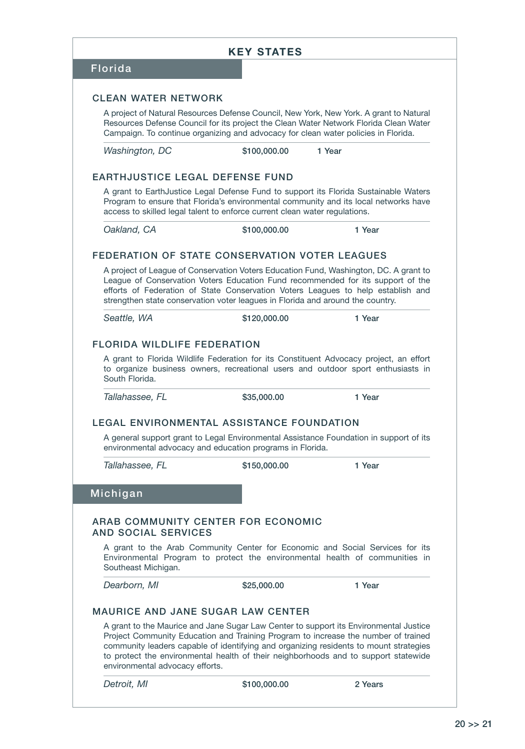| <b>Florida</b>                                                              |                                                                                                                                                                                                                                                                                                                                                             |        |
|-----------------------------------------------------------------------------|-------------------------------------------------------------------------------------------------------------------------------------------------------------------------------------------------------------------------------------------------------------------------------------------------------------------------------------------------------------|--------|
|                                                                             |                                                                                                                                                                                                                                                                                                                                                             |        |
| CLEAN WATER NETWORK                                                         |                                                                                                                                                                                                                                                                                                                                                             |        |
|                                                                             | A project of Natural Resources Defense Council, New York, New York. A grant to Natural<br>Resources Defense Council for its project the Clean Water Network Florida Clean Water<br>Campaign. To continue organizing and advocacy for clean water policies in Florida.                                                                                       |        |
| Washington, DC                                                              | \$100,000.00                                                                                                                                                                                                                                                                                                                                                | 1 Year |
| <b>EARTHJUSTICE LEGAL DEFENSE FUND</b>                                      |                                                                                                                                                                                                                                                                                                                                                             |        |
|                                                                             | A grant to EarthJustice Legal Defense Fund to support its Florida Sustainable Waters<br>Program to ensure that Florida's environmental community and its local networks have<br>access to skilled legal talent to enforce current clean water regulations.                                                                                                  |        |
| Oakland, CA                                                                 | \$100,000.00                                                                                                                                                                                                                                                                                                                                                | 1 Year |
|                                                                             | FEDERATION OF STATE CONSERVATION VOTER LEAGUES                                                                                                                                                                                                                                                                                                              |        |
|                                                                             | A project of League of Conservation Voters Education Fund, Washington, DC. A grant to<br>League of Conservation Voters Education Fund recommended for its support of the<br>efforts of Federation of State Conservation Voters Leagues to help establish and<br>strengthen state conservation voter leagues in Florida and around the country.              |        |
| Seattle, WA                                                                 | \$120,000.00                                                                                                                                                                                                                                                                                                                                                | 1 Year |
|                                                                             |                                                                                                                                                                                                                                                                                                                                                             |        |
| FLORIDA WILDLIFE FEDERATION                                                 |                                                                                                                                                                                                                                                                                                                                                             |        |
| South Florida.                                                              | A grant to Florida Wildlife Federation for its Constituent Advocacy project, an effort<br>to organize business owners, recreational users and outdoor sport enthusiasts in                                                                                                                                                                                  |        |
| Tallahassee, FL                                                             | \$35,000.00                                                                                                                                                                                                                                                                                                                                                 | 1 Year |
|                                                                             |                                                                                                                                                                                                                                                                                                                                                             |        |
|                                                                             | LEGAL ENVIRONMENTAL ASSISTANCE FOUNDATION                                                                                                                                                                                                                                                                                                                   |        |
|                                                                             | A general support grant to Legal Environmental Assistance Foundation in support of its<br>environmental advocacy and education programs in Florida.                                                                                                                                                                                                         |        |
| Tallahassee, FL                                                             | \$150,000.00                                                                                                                                                                                                                                                                                                                                                | 1 Year |
|                                                                             |                                                                                                                                                                                                                                                                                                                                                             |        |
| Michigan                                                                    |                                                                                                                                                                                                                                                                                                                                                             |        |
|                                                                             |                                                                                                                                                                                                                                                                                                                                                             |        |
|                                                                             | ARAB COMMUNITY CENTER FOR ECONOMIC                                                                                                                                                                                                                                                                                                                          |        |
| Southeast Michigan.                                                         | A grant to the Arab Community Center for Economic and Social Services for its<br>Environmental Program to protect the environmental health of communities in                                                                                                                                                                                                |        |
| Dearborn, MI                                                                | \$25,000.00                                                                                                                                                                                                                                                                                                                                                 | 1 Year |
| <b>AND SOCIAL SERVICES</b>                                                  |                                                                                                                                                                                                                                                                                                                                                             |        |
|                                                                             |                                                                                                                                                                                                                                                                                                                                                             |        |
| <b>MAURICE AND JANE SUGAR LAW CENTER</b><br>environmental advocacy efforts. | A grant to the Maurice and Jane Sugar Law Center to support its Environmental Justice<br>Project Community Education and Training Program to increase the number of trained<br>community leaders capable of identifying and organizing residents to mount strategies<br>to protect the environmental health of their neighborhoods and to support statewide |        |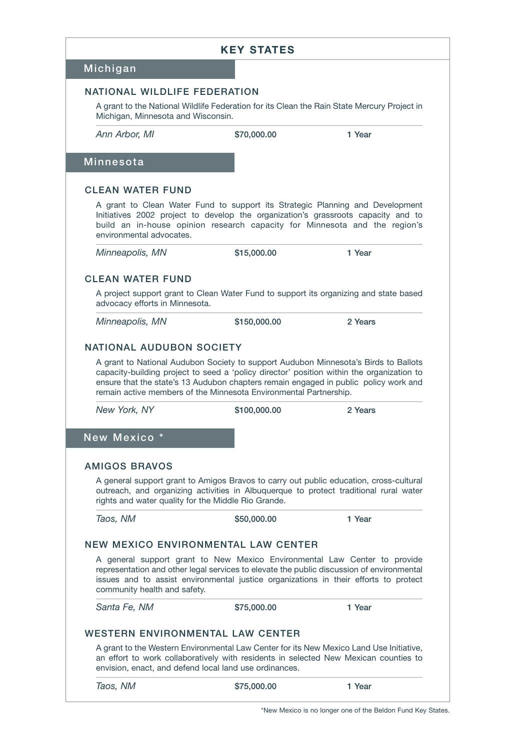| Michigan                           |                                                                                                                                                                                                                                                                                                       |                                                                                           |
|------------------------------------|-------------------------------------------------------------------------------------------------------------------------------------------------------------------------------------------------------------------------------------------------------------------------------------------------------|-------------------------------------------------------------------------------------------|
| NATIONAL WILDLIFE FEDERATION       |                                                                                                                                                                                                                                                                                                       |                                                                                           |
| Michigan, Minnesota and Wisconsin. | A grant to the National Wildlife Federation for its Clean the Rain State Mercury Project in                                                                                                                                                                                                           |                                                                                           |
| Ann Arbor, MI                      | \$70,000.00                                                                                                                                                                                                                                                                                           | 1 Year                                                                                    |
| <b>Minnesota</b>                   |                                                                                                                                                                                                                                                                                                       |                                                                                           |
| <b>CLEAN WATER FUND</b>            |                                                                                                                                                                                                                                                                                                       |                                                                                           |
| environmental advocates.           | A grant to Clean Water Fund to support its Strategic Planning and Development<br>Initiatives 2002 project to develop the organization's grassroots capacity and to<br>build an in-house opinion research capacity for Minnesota and the region's                                                      |                                                                                           |
| Minneapolis, MN                    | \$15,000.00                                                                                                                                                                                                                                                                                           | 1 Year                                                                                    |
| <b>CLEAN WATER FUND</b>            |                                                                                                                                                                                                                                                                                                       |                                                                                           |
| advocacy efforts in Minnesota.     | A project support grant to Clean Water Fund to support its organizing and state based                                                                                                                                                                                                                 |                                                                                           |
| Minneapolis, MN                    | \$150,000.00                                                                                                                                                                                                                                                                                          | 2 Years                                                                                   |
| <b>NATIONAL AUDUBON SOCIETY</b>    |                                                                                                                                                                                                                                                                                                       |                                                                                           |
|                                    | A grant to National Audubon Society to support Audubon Minnesota's Birds to Ballots                                                                                                                                                                                                                   |                                                                                           |
|                                    | ensure that the state's 13 Audubon chapters remain engaged in public policy work and<br>remain active members of the Minnesota Environmental Partnership.                                                                                                                                             | capacity-building project to seed a 'policy director' position within the organization to |
| New York, NY                       | \$100,000.00                                                                                                                                                                                                                                                                                          | 2 Years                                                                                   |
|                                    |                                                                                                                                                                                                                                                                                                       |                                                                                           |
|                                    |                                                                                                                                                                                                                                                                                                       |                                                                                           |
|                                    | A general support grant to Amigos Bravos to carry out public education, cross-cultural<br>outreach, and organizing activities in Albuquerque to protect traditional rural water<br>rights and water quality for the Middle Rio Grande.                                                                |                                                                                           |
| Taos, NM                           | \$50,000.00                                                                                                                                                                                                                                                                                           | 1 Year                                                                                    |
|                                    |                                                                                                                                                                                                                                                                                                       |                                                                                           |
| community health and safety.       | NEW MEXICO ENVIRONMENTAL LAW CENTER<br>A general support grant to New Mexico Environmental Law Center to provide<br>representation and other legal services to elevate the public discussion of environmental<br>issues and to assist environmental justice organizations in their efforts to protect |                                                                                           |
| Santa Fe, NM                       | \$75,000.00                                                                                                                                                                                                                                                                                           | 1 Year                                                                                    |
| New Mexico *<br>AMIGOS BRAVOS      | WESTERN ENVIRONMENTAL LAW CENTER                                                                                                                                                                                                                                                                      |                                                                                           |
|                                    | A grant to the Western Environmental Law Center for its New Mexico Land Use Initiative,<br>an effort to work collaboratively with residents in selected New Mexican counties to<br>envision, enact, and defend local land use ordinances.                                                             |                                                                                           |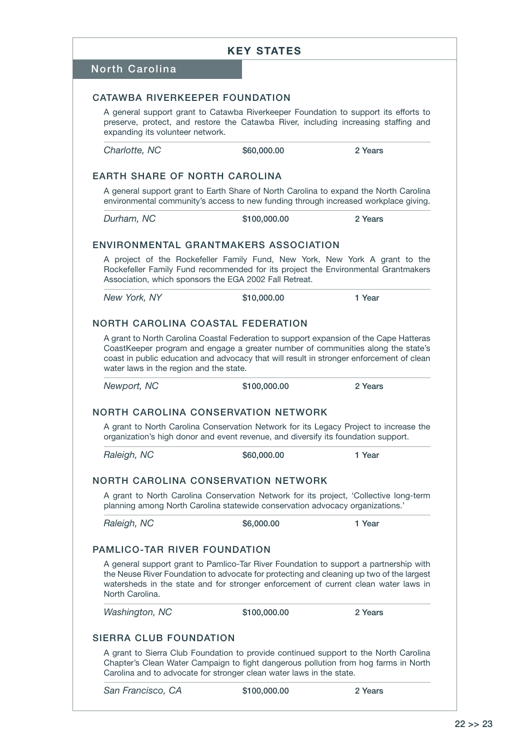|                                         | <b>KEY STATES</b>                                                                                                                                                                                                                                                        |         |
|-----------------------------------------|--------------------------------------------------------------------------------------------------------------------------------------------------------------------------------------------------------------------------------------------------------------------------|---------|
| <b>North Carolina</b>                   |                                                                                                                                                                                                                                                                          |         |
| CATAWBA RIVERKEEPER FOUNDATION          |                                                                                                                                                                                                                                                                          |         |
| expanding its volunteer network.        | A general support grant to Catawba Riverkeeper Foundation to support its efforts to<br>preserve, protect, and restore the Catawba River, including increasing staffing and                                                                                               |         |
| Charlotte, NC                           | \$60,000.00                                                                                                                                                                                                                                                              | 2 Years |
| <b>EARTH SHARE OF NORTH CAROLINA</b>    |                                                                                                                                                                                                                                                                          |         |
|                                         | A general support grant to Earth Share of North Carolina to expand the North Carolina<br>environmental community's access to new funding through increased workplace giving.                                                                                             |         |
| Durham, NC                              | \$100,000.00                                                                                                                                                                                                                                                             | 2 Years |
|                                         | ENVIRONMENTAL GRANTMAKERS ASSOCIATION                                                                                                                                                                                                                                    |         |
|                                         | A project of the Rockefeller Family Fund, New York, New York A grant to the<br>Rockefeller Family Fund recommended for its project the Environmental Grantmakers<br>Association, which sponsors the EGA 2002 Fall Retreat.                                               |         |
| New York, NY                            | \$10,000.00                                                                                                                                                                                                                                                              | 1 Year  |
| NORTH CAROLINA COASTAL FEDERATION       |                                                                                                                                                                                                                                                                          |         |
| water laws in the region and the state. | A grant to North Carolina Coastal Federation to support expansion of the Cape Hatteras<br>CoastKeeper program and engage a greater number of communities along the state's<br>coast in public education and advocacy that will result in stronger enforcement of clean   |         |
| Newport, NC                             | \$100,000.00                                                                                                                                                                                                                                                             | 2 Years |
|                                         | NORTH CAROLINA CONSERVATION NETWORK                                                                                                                                                                                                                                      |         |
|                                         | A grant to North Carolina Conservation Network for its Legacy Project to increase the<br>organization's high donor and event revenue, and diversify its foundation support.                                                                                              |         |
| Raleigh, NC                             | \$60,000.00                                                                                                                                                                                                                                                              | 1 Year  |
|                                         | NORTH CAROLINA CONSERVATION NETWORK                                                                                                                                                                                                                                      |         |
|                                         | A grant to North Carolina Conservation Network for its project, 'Collective long-term<br>planning among North Carolina statewide conservation advocacy organizations.                                                                                                    |         |
| Raleigh, NC                             | \$6,000.00                                                                                                                                                                                                                                                               | 1 Year  |
| PAMLICO-TAR RIVER FOUNDATION            |                                                                                                                                                                                                                                                                          |         |
| North Carolina.                         | A general support grant to Pamlico-Tar River Foundation to support a partnership with<br>the Neuse River Foundation to advocate for protecting and cleaning up two of the largest<br>watersheds in the state and for stronger enforcement of current clean water laws in |         |
| Washington, NC                          | \$100,000.00                                                                                                                                                                                                                                                             | 2 Years |
|                                         |                                                                                                                                                                                                                                                                          |         |
| SIERRA CLUB FOUNDATION                  |                                                                                                                                                                                                                                                                          |         |
|                                         | A grant to Sierra Club Foundation to provide continued support to the North Carolina<br>Chapter's Clean Water Campaign to fight dangerous pollution from hog farms in North<br>Carolina and to advocate for stronger clean water laws in the state.                      |         |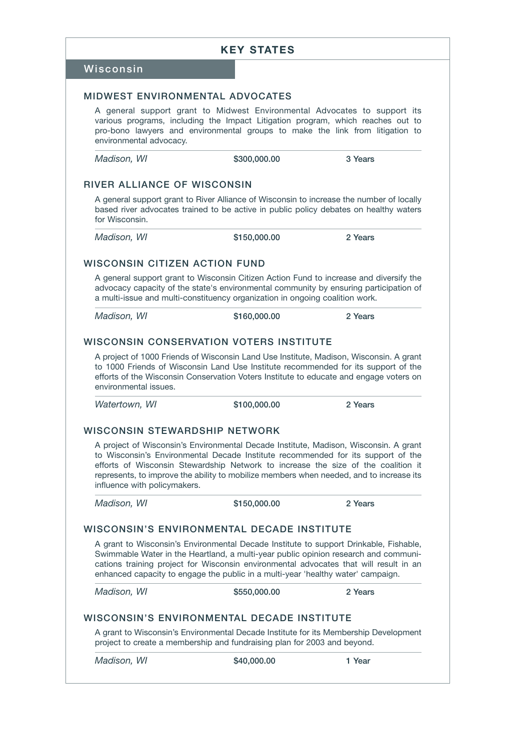|                                        | <b>KEY STATES</b>                                                                                                      |                                                                                                                                                                                                                                                                                                                                                                     |
|----------------------------------------|------------------------------------------------------------------------------------------------------------------------|---------------------------------------------------------------------------------------------------------------------------------------------------------------------------------------------------------------------------------------------------------------------------------------------------------------------------------------------------------------------|
| Wisconsin                              |                                                                                                                        |                                                                                                                                                                                                                                                                                                                                                                     |
| MIDWEST ENVIRONMENTAL ADVOCATES        |                                                                                                                        |                                                                                                                                                                                                                                                                                                                                                                     |
| environmental advocacy.                |                                                                                                                        | A general support grant to Midwest Environmental Advocates to support its<br>various programs, including the Impact Litigation program, which reaches out to<br>pro-bono lawyers and environmental groups to make the link from litigation to                                                                                                                       |
| Madison, WI                            | \$300,000.00                                                                                                           | 3 Years                                                                                                                                                                                                                                                                                                                                                             |
| RIVER ALLIANCE OF WISCONSIN            |                                                                                                                        |                                                                                                                                                                                                                                                                                                                                                                     |
| for Wisconsin.                         |                                                                                                                        | A general support grant to River Alliance of Wisconsin to increase the number of locally<br>based river advocates trained to be active in public policy debates on healthy waters                                                                                                                                                                                   |
| Madison, WI                            | \$150,000.00                                                                                                           | 2 Years                                                                                                                                                                                                                                                                                                                                                             |
| <b>WISCONSIN CITIZEN ACTION FUND</b>   |                                                                                                                        |                                                                                                                                                                                                                                                                                                                                                                     |
|                                        | a multi-issue and multi-constituency organization in ongoing coalition work.                                           | A general support grant to Wisconsin Citizen Action Fund to increase and diversify the<br>advocacy capacity of the state's environmental community by ensuring participation of                                                                                                                                                                                     |
| Madison, WI                            | \$160,000.00                                                                                                           | 2 Years                                                                                                                                                                                                                                                                                                                                                             |
|                                        | WISCONSIN CONSERVATION VOTERS INSTITUTE                                                                                | A project of 1000 Friends of Wisconsin Land Use Institute, Madison, Wisconsin. A grant<br>to 1000 Friends of Wisconsin Land Use Institute recommended for its support of the<br>efforts of the Wisconsin Conservation Voters Institute to educate and engage voters on                                                                                              |
| environmental issues.<br>Watertown, WI | \$100,000.00                                                                                                           | 2 Years                                                                                                                                                                                                                                                                                                                                                             |
| WISCONSIN STEWARDSHIP NETWORK          |                                                                                                                        |                                                                                                                                                                                                                                                                                                                                                                     |
| influence with policymakers.           |                                                                                                                        |                                                                                                                                                                                                                                                                                                                                                                     |
| Madison, WI                            | \$150,000.00                                                                                                           | A project of Wisconsin's Environmental Decade Institute, Madison, Wisconsin. A grant<br>to Wisconsin's Environmental Decade Institute recommended for its support of the<br>efforts of Wisconsin Stewardship Network to increase the size of the coalition it<br>represents, to improve the ability to mobilize members when needed, and to increase its<br>2 Years |
|                                        | WISCONSIN'S ENVIRONMENTAL DECADE INSTITUTE                                                                             |                                                                                                                                                                                                                                                                                                                                                                     |
|                                        | enhanced capacity to engage the public in a multi-year 'healthy water' campaign.                                       | A grant to Wisconsin's Environmental Decade Institute to support Drinkable, Fishable,<br>Swimmable Water in the Heartland, a multi-year public opinion research and communi-<br>cations training project for Wisconsin environmental advocates that will result in an                                                                                               |
| Madison, WI                            | \$550,000.00                                                                                                           | 2 Years                                                                                                                                                                                                                                                                                                                                                             |
|                                        |                                                                                                                        |                                                                                                                                                                                                                                                                                                                                                                     |
|                                        | WISCONSIN'S ENVIRONMENTAL DECADE INSTITUTE<br>project to create a membership and fundraising plan for 2003 and beyond. | A grant to Wisconsin's Environmental Decade Institute for its Membership Development                                                                                                                                                                                                                                                                                |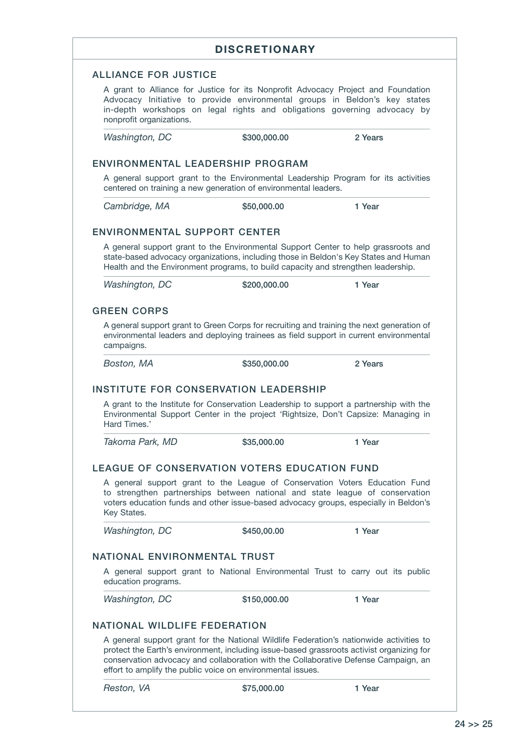## **DISCRETIONARY**

| A grant to Alliance for Justice for its Nonprofit Advocacy Project and Foundation<br>Advocacy Initiative to provide environmental groups in Beldon's key states<br>in-depth workshops on legal rights and obligations governing advocacy by<br>2 Years<br>A general support grant to the Environmental Leadership Program for its activities<br>1 Year<br>A general support grant to the Environmental Support Center to help grassroots and<br>state-based advocacy organizations, including those in Beldon's Key States and Human |
|--------------------------------------------------------------------------------------------------------------------------------------------------------------------------------------------------------------------------------------------------------------------------------------------------------------------------------------------------------------------------------------------------------------------------------------------------------------------------------------------------------------------------------------|
|                                                                                                                                                                                                                                                                                                                                                                                                                                                                                                                                      |
|                                                                                                                                                                                                                                                                                                                                                                                                                                                                                                                                      |
|                                                                                                                                                                                                                                                                                                                                                                                                                                                                                                                                      |
|                                                                                                                                                                                                                                                                                                                                                                                                                                                                                                                                      |
|                                                                                                                                                                                                                                                                                                                                                                                                                                                                                                                                      |
|                                                                                                                                                                                                                                                                                                                                                                                                                                                                                                                                      |
| Health and the Environment programs, to build capacity and strengthen leadership.                                                                                                                                                                                                                                                                                                                                                                                                                                                    |
| 1 Year                                                                                                                                                                                                                                                                                                                                                                                                                                                                                                                               |
|                                                                                                                                                                                                                                                                                                                                                                                                                                                                                                                                      |
| A general support grant to Green Corps for recruiting and training the next generation of<br>environmental leaders and deploying trainees as field support in current environmental                                                                                                                                                                                                                                                                                                                                                  |
| 2 Years                                                                                                                                                                                                                                                                                                                                                                                                                                                                                                                              |
|                                                                                                                                                                                                                                                                                                                                                                                                                                                                                                                                      |
| A grant to the Institute for Conservation Leadership to support a partnership with the                                                                                                                                                                                                                                                                                                                                                                                                                                               |
| Environmental Support Center in the project 'Rightsize, Don't Capsize: Managing in                                                                                                                                                                                                                                                                                                                                                                                                                                                   |
| 1 Year                                                                                                                                                                                                                                                                                                                                                                                                                                                                                                                               |
| LEAGUE OF CONSERVATION VOTERS EDUCATION FUND                                                                                                                                                                                                                                                                                                                                                                                                                                                                                         |
|                                                                                                                                                                                                                                                                                                                                                                                                                                                                                                                                      |
| A general support grant to the League of Conservation Voters Education Fund<br>to strengthen partnerships between national and state league of conservation<br>voters education funds and other issue-based advocacy groups, especially in Beldon's                                                                                                                                                                                                                                                                                  |
| 1 Year                                                                                                                                                                                                                                                                                                                                                                                                                                                                                                                               |
|                                                                                                                                                                                                                                                                                                                                                                                                                                                                                                                                      |
| A general support grant to National Environmental Trust to carry out its public                                                                                                                                                                                                                                                                                                                                                                                                                                                      |
|                                                                                                                                                                                                                                                                                                                                                                                                                                                                                                                                      |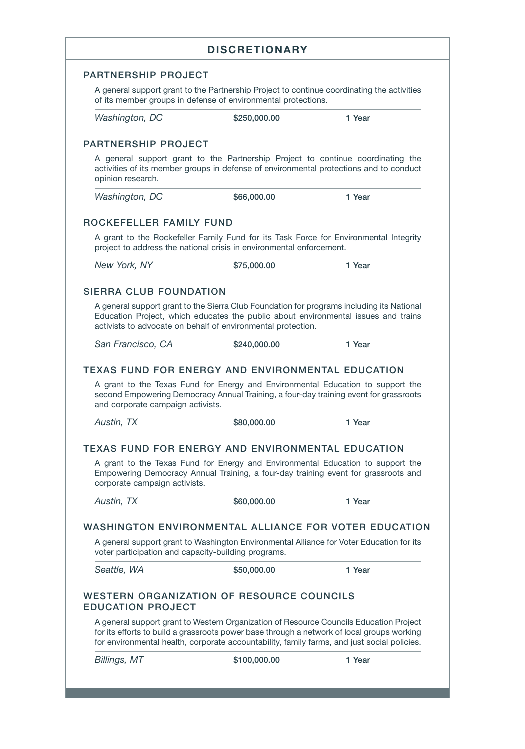|                                                                                        | <b>DISCRETIONARY</b>                                                                                                                                                                      |        |
|----------------------------------------------------------------------------------------|-------------------------------------------------------------------------------------------------------------------------------------------------------------------------------------------|--------|
| PARTNERSHIP PROJECT                                                                    |                                                                                                                                                                                           |        |
|                                                                                        | A general support grant to the Partnership Project to continue coordinating the activities<br>of its member groups in defense of environmental protections.                               |        |
| Washington, DC                                                                         | \$250,000.00                                                                                                                                                                              | 1 Year |
| <b>PARTNERSHIP PROJECT</b>                                                             |                                                                                                                                                                                           |        |
| opinion research.                                                                      | A general support grant to the Partnership Project to continue coordinating the<br>activities of its member groups in defense of environmental protections and to conduct                 |        |
| Washington, DC                                                                         | \$66,000.00                                                                                                                                                                               | 1 Year |
| ROCKEFELLER FAMILY FUND                                                                |                                                                                                                                                                                           |        |
|                                                                                        | A grant to the Rockefeller Family Fund for its Task Force for Environmental Integrity<br>project to address the national crisis in environmental enforcement.                             |        |
| New York, NY                                                                           | \$75,000.00                                                                                                                                                                               | 1 Year |
| San Francisco, CA                                                                      | activists to advocate on behalf of environmental protection.<br>\$240,000.00                                                                                                              | 1 Year |
|                                                                                        | A general support grant to the Sierra Club Foundation for programs including its National<br>Education Project, which educates the public about environmental issues and trains           |        |
|                                                                                        |                                                                                                                                                                                           |        |
|                                                                                        | TEXAS FUND FOR ENERGY AND ENVIRONMENTAL EDUCATION                                                                                                                                         |        |
| and corporate campaign activists.                                                      | A grant to the Texas Fund for Energy and Environmental Education to support the<br>second Empowering Democracy Annual Training, a four-day training event for grassroots                  |        |
| Austin, TX                                                                             | \$80,000.00                                                                                                                                                                               | 1 Year |
|                                                                                        | TEXAS FUND FOR ENERGY AND ENVIRONMENTAL EDUCATION                                                                                                                                         |        |
| corporate campaign activists.                                                          | A grant to the Texas Fund for Energy and Environmental Education to support the<br>Empowering Democracy Annual Training, a four-day training event for grassroots and                     |        |
| Austin. TX                                                                             | \$60,000.00                                                                                                                                                                               | 1 Year |
|                                                                                        | WASHINGTON ENVIRONMENTAL ALLIANCE FOR VOTER EDUCATION                                                                                                                                     |        |
|                                                                                        | A general support grant to Washington Environmental Alliance for Voter Education for its<br>voter participation and capacity-building programs.                                           |        |
| Seattle, WA                                                                            | \$50,000.00                                                                                                                                                                               | 1 Year |
| <b>EDUCATION PROJECT</b>                                                               | WESTERN ORGANIZATION OF RESOURCE COUNCILS                                                                                                                                                 |        |
|                                                                                        |                                                                                                                                                                                           |        |
| A general support grant to Western Organization of Resource Councils Education Project | for its efforts to build a grassroots power base through a network of local groups working<br>for environmental health, corporate accountability, family farms, and just social policies. |        |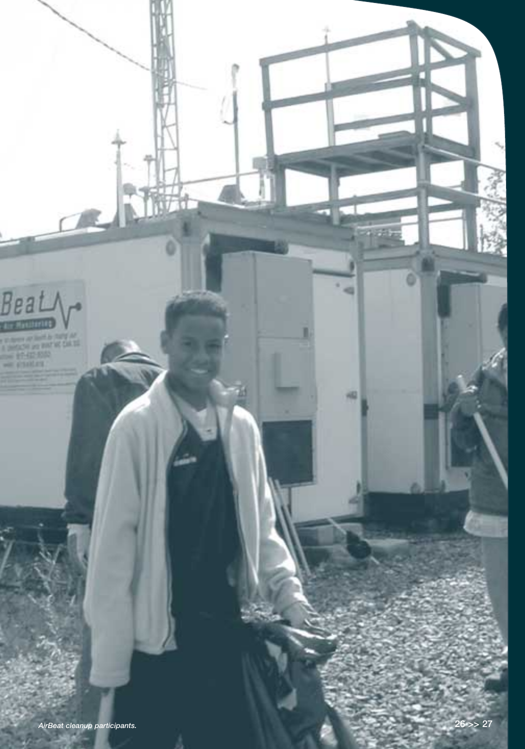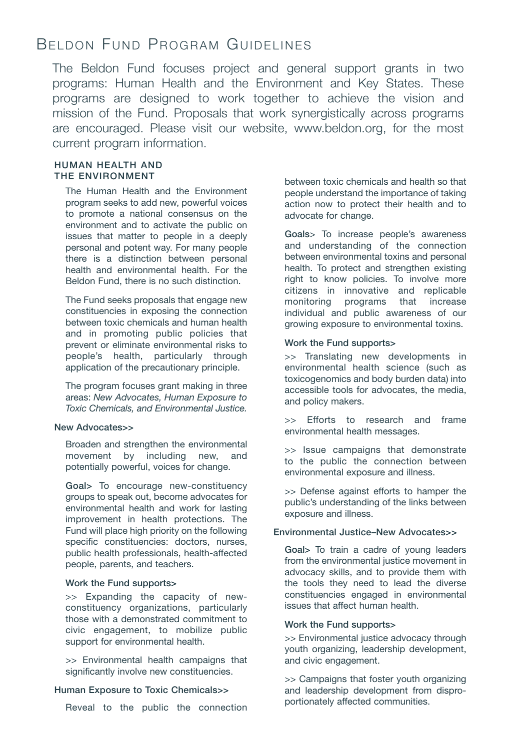## BELDON FUND PROGRAM GUIDELINES

The Beldon Fund focuses project and general support grants in two programs: Human Health and the Environment and Key States. These programs are designed to work together to achieve the vision and mission of the Fund. Proposals that work synergistically across programs are encouraged. Please visit our website, www.beldon.org, for the most current program information.

### HUMAN HEALTH AND THE ENVIRONMENT

The Human Health and the Environment program seeks to add new, powerful voices to promote a national consensus on the environment and to activate the public on issues that matter to people in a deeply personal and potent way. For many people there is a distinction between personal health and environmental health. For the Beldon Fund, there is no such distinction.

The Fund seeks proposals that engage new constituencies in exposing the connection between toxic chemicals and human health and in promoting public policies that prevent or eliminate environmental risks to people's health, particularly through application of the precautionary principle.

The program focuses grant making in three areas: *New Advocates, Human Exposure to Toxic Chemicals, and Environmental Justice.*

### New Advocates>>

Broaden and strengthen the environmental movement by including new, and potentially powerful, voices for change.

Goal> To encourage new-constituency groups to speak out, become advocates for environmental health and work for lasting improvement in health protections. The Fund will place high priority on the following specific constituencies: doctors, nurses, public health professionals, health-affected people, parents, and teachers.

#### Work the Fund supports>

>> Expanding the capacity of newconstituency organizations, particularly those with a demonstrated commitment to civic engagement, to mobilize public support for environmental health.

>> Environmental health campaigns that significantly involve new constituencies.

### Human Exposure to Toxic Chemicals>>

Reveal to the public the connection

between toxic chemicals and health so that people understand the importance of taking action now to protect their health and to advocate for change.

Goals> To increase people's awareness and understanding of the connection between environmental toxins and personal health. To protect and strengthen existing right to know policies. To involve more citizens in innovative and replicable monitoring programs that increase individual and public awareness of our growing exposure to environmental toxins.

#### Work the Fund supports>

>> Translating new developments in environmental health science (such as toxicogenomics and body burden data) into accessible tools for advocates, the media, and policy makers.

>> Efforts to research and frame environmental health messages.

>> Issue campaigns that demonstrate to the public the connection between environmental exposure and illness.

>> Defense against efforts to hamper the public's understanding of the links between exposure and illness.

### Environmental Justice–New Advocates>>

Goal> To train a cadre of young leaders from the environmental justice movement in advocacy skills, and to provide them with the tools they need to lead the diverse constituencies engaged in environmental issues that affect human health.

### Work the Fund supports>

>> Environmental justice advocacy through youth organizing, leadership development, and civic engagement.

>> Campaigns that foster youth organizing and leadership development from disproportionately affected communities.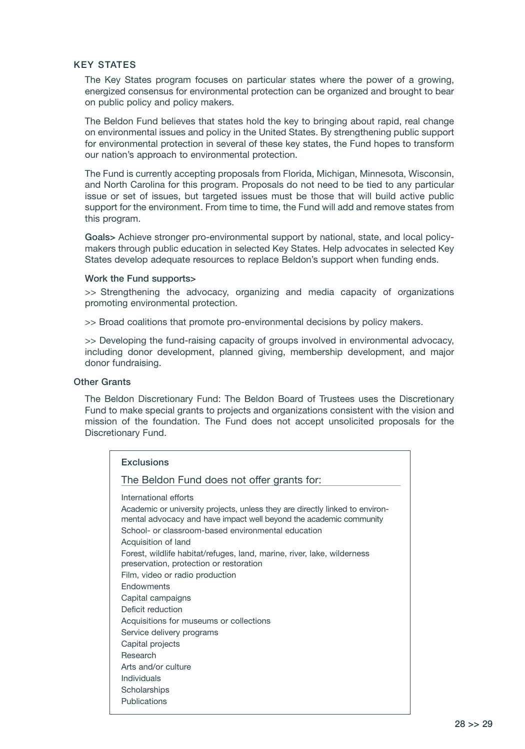## KEY STATES

The Key States program focuses on particular states where the power of a growing, energized consensus for environmental protection can be organized and brought to bear on public policy and policy makers.

The Beldon Fund believes that states hold the key to bringing about rapid, real change on environmental issues and policy in the United States. By strengthening public support for environmental protection in several of these key states, the Fund hopes to transform our nation's approach to environmental protection.

The Fund is currently accepting proposals from Florida, Michigan, Minnesota, Wisconsin, and North Carolina for this program. Proposals do not need to be tied to any particular issue or set of issues, but targeted issues must be those that will build active public support for the environment. From time to time, the Fund will add and remove states from this program.

Goals> Achieve stronger pro-environmental support by national, state, and local policymakers through public education in selected Key States. Help advocates in selected Key States develop adequate resources to replace Beldon's support when funding ends.

#### Work the Fund supports>

>> Strengthening the advocacy, organizing and media capacity of organizations promoting environmental protection.

>> Broad coalitions that promote pro-environmental decisions by policy makers.

>> Developing the fund-raising capacity of groups involved in environmental advocacy, including donor development, planned giving, membership development, and major donor fundraising.

### Other Grants

The Beldon Discretionary Fund: The Beldon Board of Trustees uses the Discretionary Fund to make special grants to projects and organizations consistent with the vision and mission of the foundation. The Fund does not accept unsolicited proposals for the Discretionary Fund.

| The Beldon Fund does not offer grants for:                                                                               |
|--------------------------------------------------------------------------------------------------------------------------|
| International efforts                                                                                                    |
| Academic or university projects, unless they are directly linked to environ-                                             |
| mental advocacy and have impact well beyond the academic community<br>School- or classroom-based environmental education |
| Acquisition of land                                                                                                      |
| Forest, wildlife habitat/refuges, land, marine, river, lake, wilderness                                                  |
| preservation, protection or restoration                                                                                  |
| Film, video or radio production                                                                                          |
| <b>Endowments</b>                                                                                                        |
| Capital campaigns                                                                                                        |
| Deficit reduction                                                                                                        |
| Acquisitions for museums or collections                                                                                  |
| Service delivery programs                                                                                                |
| Capital projects                                                                                                         |
| Research                                                                                                                 |
| Arts and/or culture                                                                                                      |
| Individuals                                                                                                              |
| Scholarships                                                                                                             |
| Publications                                                                                                             |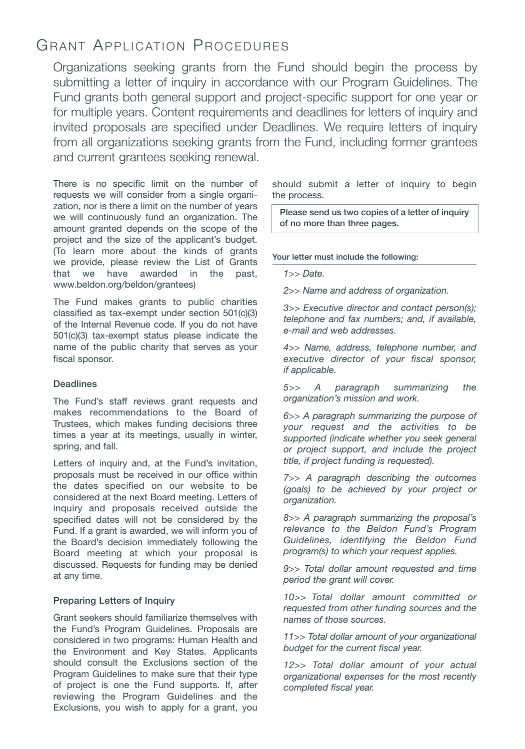# GRANT APPLICATION PROCEDURES

Organizations seeking grants from the Fund should begin the process by submitting a letter of inquiry in accordance with our Program Guidelines. The Fund grants both general support and project-specific support for one year or for multiple years. Content requirements and deadlines for letters of inquiry and invited proposals are specified under Deadlines. We require letters of inquiry from all organizations seeking grants from the Fund, including former grantees and current grantees seeking renewal.

There is no specific limit on the number of requests we will consider from a single organization, nor is there a limit on the number of years we will continuously fund an organization. The amount granted depends on the scope of the project and the size of the applicant's budget. (To learn more about the kinds of grants we provide, please review the List of Grants that we have awarded in the past, www.beldon.org/beldon/grantees)

The Fund makes grants to public charities classified as tax-exempt under section 501(c)(3) of the Internal Revenue code. If you do not have 501(c)(3) tax-exempt status please indicate the name of the public charity that serves as your fiscal sponsor.

## Deadlines

The Fund's staff reviews grant requests and makes recommendations to the Board of Trustees, which makes funding decisions three times a year at its meetings, usually in winter, spring, and fall.

Letters of inquiry and, at the Fund's invitation, proposals must be received in our office within the dates specified on our website to be considered at the next Board meeting. Letters of inquiry and proposals received outside the specified dates will not be considered by the Fund. If a grant is awarded, we will inform you of the Board's decision immediately following the Board meeting at which your proposal is discussed. Requests for funding may be denied at any time.

## Preparing Letters of Inquiry

Grant seekers should familiarize themselves with the Fund's Program Guidelines. Proposals are considered in two programs: Human Health and the Environment and Key States. Applicants should consult the Exclusions section of the Program Guidelines to make sure that their type of project is one the Fund supports. If, after reviewing the Program Guidelines and the Exclusions, you wish to apply for a grant, you should submit a letter of inquiry to begin the process.

Please send us two copies of a letter of inquiry of no more than three pages.

Your letter must include the following:

*1>> Date.*

*2>> Name and address of organization.*

*3>> Executive director and contact person(s); telephone and fax numbers; and, if available, e-mail and web addresses.*

*4>> Name, address, telephone number, and executive director of your fiscal sponsor, if applicable.*

*5>> A paragraph summarizing the organization's mission and work.*

*6>> A paragraph summarizing the purpose of your request and the activities to be supported (indicate whether you seek general or project support, and include the project title, if project funding is requested).*

*7>> A paragraph describing the outcomes (goals) to be achieved by your project or organization.*

*8>> A paragraph summarizing the proposal's relevance to the Beldon Fund's Program Guidelines, identifying the Beldon Fund program(s) to which your request applies.*

*9>> Total dollar amount requested and time period the grant will cover.*

*10>> Total dollar amount committed or requested from other funding sources and the names of those sources.*

*11>> Total dollar amount of your organizational budget for the current fiscal year.*

*12>> Total dollar amount of your actual organizational expenses for the most recently completed fiscal year.*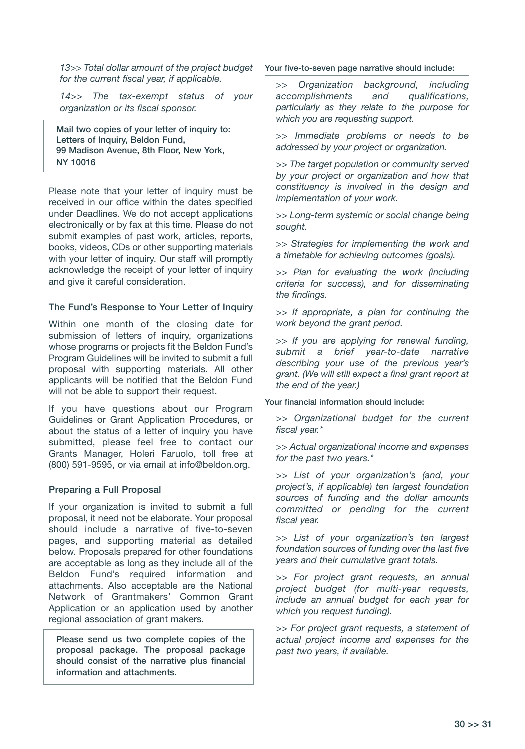*13>> Total dollar amount of the project budget for the current fiscal year, if applicable.*

*14>> The tax-exempt status of your organization or its fiscal sponsor.*

Mail two copies of your letter of inquiry to: Letters of Inquiry, Beldon Fund, 99 Madison Avenue, 8th Floor, New York, NY 10016

Please note that your letter of inquiry must be received in our office within the dates specified under Deadlines. We do not accept applications electronically or by fax at this time. Please do not submit examples of past work, articles, reports, books, videos, CDs or other supporting materials with your letter of inquiry. Our staff will promptly acknowledge the receipt of your letter of inquiry and give it careful consideration.

### The Fund's Response to Your Letter of Inquiry

Within one month of the closing date for submission of letters of inquiry, organizations whose programs or projects fit the Beldon Fund's Program Guidelines will be invited to submit a full proposal with supporting materials. All other applicants will be notified that the Beldon Fund will not be able to support their request.

If you have questions about our Program Guidelines or Grant Application Procedures, or about the status of a letter of inquiry you have submitted, please feel free to contact our Grants Manager, Holeri Faruolo, toll free at (800) 591-9595, or via email at info@beldon.org.

### Preparing a Full Proposal

If your organization is invited to submit a full proposal, it need not be elaborate. Your proposal should include a narrative of five-to-seven pages, and supporting material as detailed below. Proposals prepared for other foundations are acceptable as long as they include all of the Beldon Fund's required information and attachments. Also acceptable are the National Network of Grantmakers' Common Grant Application or an application used by another regional association of grant makers.

Please send us two complete copies of the proposal package. The proposal package should consist of the narrative plus financial information and attachments.

### Your five-to-seven page narrative should include:

*>> Organization background, including accomplishments and qualifications, particularly as they relate to the purpose for which you are requesting support.*

*>> Immediate problems or needs to be addressed by your project or organization.*

*>> The target population or community served by your project or organization and how that constituency is involved in the design and implementation of your work.*

*>> Long-term systemic or social change being sought.*

*>> Strategies for implementing the work and a timetable for achieving outcomes (goals).*

*>> Plan for evaluating the work (including criteria for success), and for disseminating the findings.*

*>> If appropriate, a plan for continuing the work beyond the grant period.* 

*>> If you are applying for renewal funding, submit a brief year-to-date narrative describing your use of the previous year's grant. (We will still expect a final grant report at the end of the year.)*

Your financial information should include:

*>> Organizational budget for the current fiscal year.\**

*>> Actual organizational income and expenses for the past two years.\**

*>> List of your organization's (and, your project's, if applicable) ten largest foundation sources of funding and the dollar amounts committed or pending for the current fiscal year.*

*>> List of your organization's ten largest foundation sources of funding over the last five years and their cumulative grant totals.*

*>> For project grant requests, an annual project budget (for multi-year requests, include an annual budget for each year for which you request funding).*

*>> For project grant requests, a statement of actual project income and expenses for the past two years, if available.*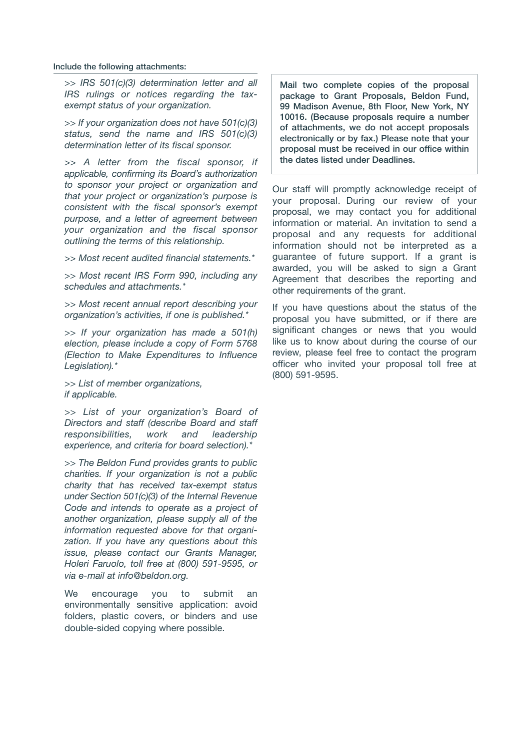Include the following attachments:

*>> IRS 501(c)(3) determination letter and all IRS rulings or notices regarding the taxexempt status of your organization.*

*>> If your organization does not have 501(c)(3) status, send the name and IRS 501(c)(3) determination letter of its fiscal sponsor.*

*>> A letter from the fiscal sponsor, if applicable, confirming its Board's authorization to sponsor your project or organization and that your project or organization's purpose is consistent with the fiscal sponsor's exempt purpose, and a letter of agreement between your organization and the fiscal sponsor outlining the terms of this relationship.*

*>> Most recent audited financial statements.\**

*>> Most recent IRS Form 990, including any schedules and attachments.\**

*>> Most recent annual report describing your organization's activities, if one is published.\**

*>> If your organization has made a 501(h) election, please include a copy of Form 5768 (Election to Make Expenditures to Influence Legislation).\**

*>> List of member organizations, if applicable.*

*>> List of your organization's Board of Directors and staff (describe Board and staff responsibilities, work and leadership experience, and criteria for board selection).\**

*>> The Beldon Fund provides grants to public charities. If your organization is not a public charity that has received tax-exempt status under Section 501(c)(3) of the Internal Revenue Code and intends to operate as a project of another organization, please supply all of the information requested above for that organization. If you have any questions about this issue, please contact our Grants Manager, Holeri Faruolo, toll free at (800) 591-9595, or via e-mail at info@beldon.org.*

We encourage you to submit an environmentally sensitive application: avoid folders, plastic covers, or binders and use double-sided copying where possible.

Mail two complete copies of the proposal package to Grant Proposals, Beldon Fund, 99 Madison Avenue, 8th Floor, New York, NY 10016. (Because proposals require a number of attachments, we do not accept proposals electronically or by fax.) Please note that your proposal must be received in our office within the dates listed under Deadlines.

Our staff will promptly acknowledge receipt of your proposal. During our review of your proposal, we may contact you for additional information or material. An invitation to send a proposal and any requests for additional information should not be interpreted as a guarantee of future support. If a grant is awarded, you will be asked to sign a Grant Agreement that describes the reporting and other requirements of the grant.

If you have questions about the status of the proposal you have submitted, or if there are significant changes or news that you would like us to know about during the course of our review, please feel free to contact the program officer who invited your proposal toll free at (800) 591-9595.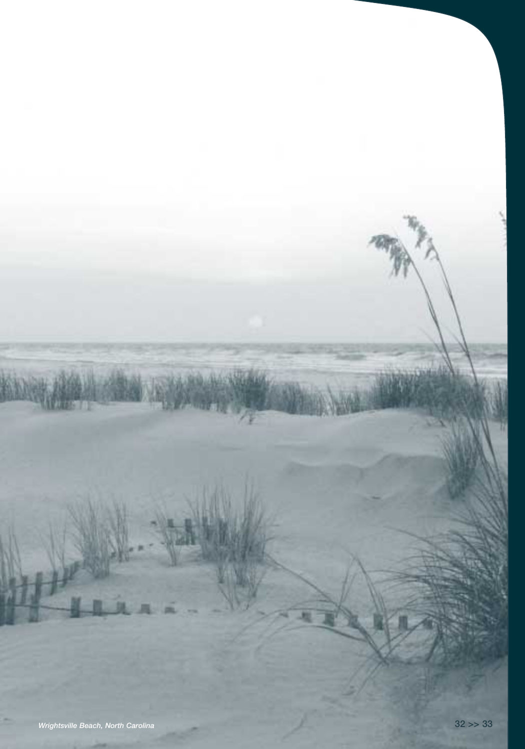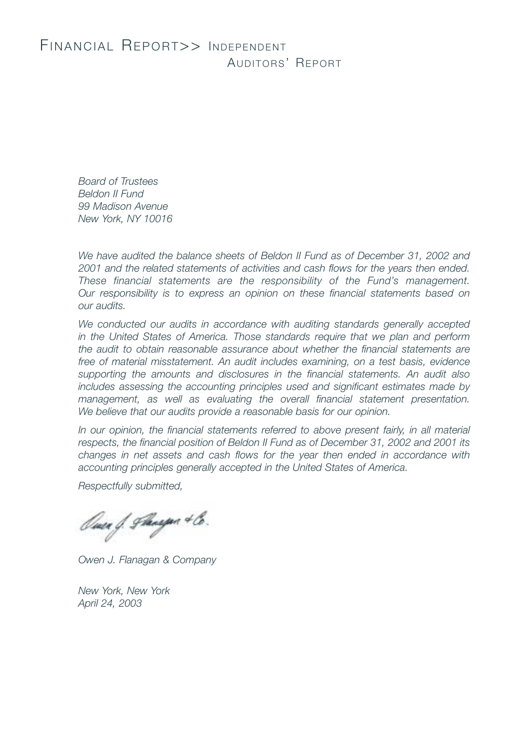# FINANCIAL REPORT>> INDEPENDENT AUDITORS' REPORT

*Board of Trustees Beldon II Fund 99 Madison Avenue New York, NY 10016*

*We have audited the balance sheets of Beldon II Fund as of December 31, 2002 and 2001 and the related statements of activities and cash flows for the years then ended. These financial statements are the responsibility of the Fund's management. Our responsibility is to express an opinion on these financial statements based on our audits.*

We conducted our audits in accordance with auditing standards generally accepted *in the United States of America. Those standards require that we plan and perform the audit to obtain reasonable assurance about whether the financial statements are free of material misstatement. An audit includes examining, on a test basis, evidence supporting the amounts and disclosures in the financial statements. An audit also includes assessing the accounting principles used and significant estimates made by management, as well as evaluating the overall financial statement presentation. We believe that our audits provide a reasonable basis for our opinion.*

*In our opinion, the financial statements referred to above present fairly, in all material respects, the financial position of Beldon II Fund as of December 31, 2002 and 2001 its changes in net assets and cash flows for the year then ended in accordance with accounting principles generally accepted in the United States of America.*

*Respectfully submitted,*

*Omr* f. Fkuspe + Co.

*Owen J. Flanagan & Company*

*New York, New York April 24, 2003*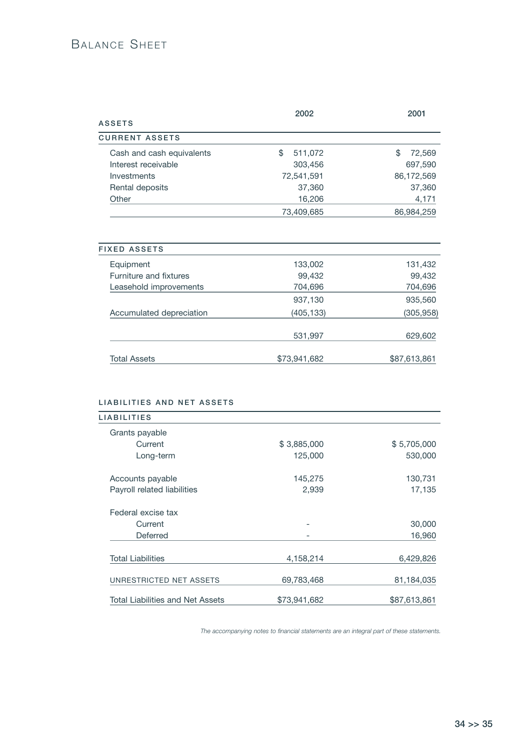|                           | 2002          | 2001         |
|---------------------------|---------------|--------------|
| <b>ASSETS</b>             |               |              |
| <b>CURRENT ASSETS</b>     |               |              |
| Cash and cash equivalents | \$<br>511,072 | \$<br>72,569 |
| Interest receivable       | 303,456       | 697,590      |
| Investments               | 72,541,591    | 86,172,569   |
| Rental deposits           | 37,360        | 37,360       |
| Other                     | 16,206        | 4,171        |
|                           | 73,409,685    | 86,984,259   |
| <b>FIXED ASSETS</b>       |               |              |
| Equipment                 | 133,002       | 131,432      |
| Furniture and fixtures    | 99,432        | 99,432       |
| Leasehold improvements    | 704,696       | 704,696      |
|                           | 937,130       | 935,560      |
| Accumulated depreciation  | (405,133)     | (305, 958)   |
|                           | 531,997       | 629,602      |
| <b>Total Assets</b>       | \$73,941,682  | \$87,613,861 |

## LIABILITIES AND NET ASSETS

| <b>LIABILITIES</b>                      |              |              |
|-----------------------------------------|--------------|--------------|
| Grants payable                          |              |              |
| Current                                 | \$3,885,000  | \$5,705,000  |
| Long-term                               | 125,000      | 530,000      |
| Accounts payable                        | 145,275      | 130,731      |
| Payroll related liabilities             | 2,939        | 17,135       |
| Federal excise tax                      |              |              |
| Current                                 |              | 30,000       |
| Deferred                                |              | 16,960       |
| <b>Total Liabilities</b>                | 4,158,214    | 6,429,826    |
| UNRESTRICTED NET ASSETS                 | 69,783,468   | 81,184,035   |
| <b>Total Liabilities and Net Assets</b> | \$73,941,682 | \$87,613,861 |

*The accompanying notes to financial statements are an integral part of these statements.*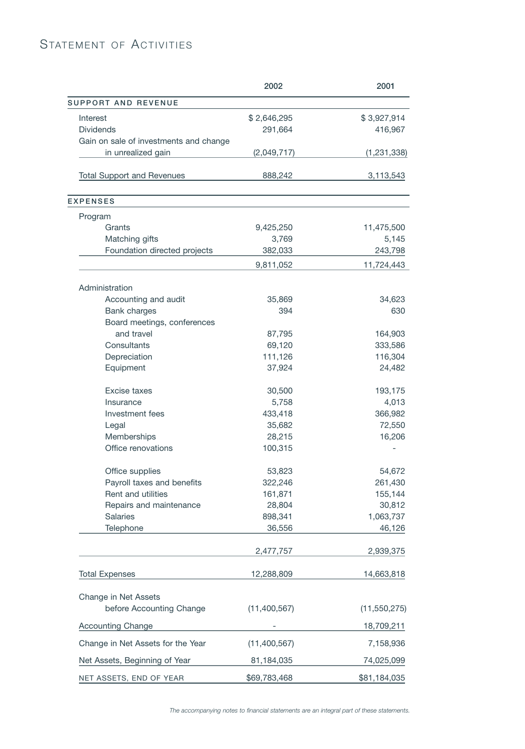# STATEMENT OF ACTIVITIES

|                                        | 2002           | 2001           |
|----------------------------------------|----------------|----------------|
| <b>SUPPORT AND REVENUE</b>             |                |                |
| Interest                               | \$2,646,295    | \$3,927,914    |
| <b>Dividends</b>                       | 291,664        | 416,967        |
| Gain on sale of investments and change |                |                |
| in unrealized gain                     | (2,049,717)    | (1,231,338)    |
| <b>Total Support and Revenues</b>      | 888,242        | 3,113,543      |
| <b>EXPENSES</b>                        |                |                |
| Program                                |                |                |
| Grants                                 | 9,425,250      | 11,475,500     |
| Matching gifts                         | 3,769          | 5,145          |
| Foundation directed projects           | 382,033        | 243,798        |
|                                        | 9,811,052      | 11,724,443     |
| Administration                         |                |                |
| Accounting and audit                   | 35,869         | 34,623         |
| Bank charges                           | 394            | 630            |
| Board meetings, conferences            |                |                |
| and travel                             | 87,795         | 164,903        |
| Consultants                            | 69,120         | 333,586        |
| Depreciation                           | 111,126        | 116,304        |
| Equipment                              | 37,924         | 24,482         |
| Excise taxes                           | 30,500         | 193,175        |
| Insurance                              | 5,758          | 4,013          |
| Investment fees                        | 433,418        | 366,982        |
| Legal                                  | 35,682         | 72,550         |
| Memberships                            | 28,215         | 16,206         |
| Office renovations                     | 100,315        |                |
| Office supplies                        | 53,823         | 54,672         |
| Payroll taxes and benefits             | 322,246        | 261,430        |
| Rent and utilities                     | 161,871        | 155,144        |
| Repairs and maintenance                | 28,804         | 30,812         |
| Salaries                               | 898,341        | 1,063,737      |
| Telephone                              | 36,556         | 46,126         |
|                                        | 2,477,757      | 2,939,375      |
| <b>Total Expenses</b>                  | 12,288,809     | 14,663,818     |
|                                        |                |                |
| Change in Net Assets                   |                |                |
| before Accounting Change               | (11,400,567)   | (11, 550, 275) |
| <b>Accounting Change</b>               |                | 18,709,211     |
| Change in Net Assets for the Year      | (11, 400, 567) | 7,158,936      |
| Net Assets, Beginning of Year          | 81,184,035     | 74,025,099     |
| NET ASSETS, END OF YEAR                | \$69,783,468   | \$81,184,035   |

*The accompanying notes to financial statements are an integral part of these statements.*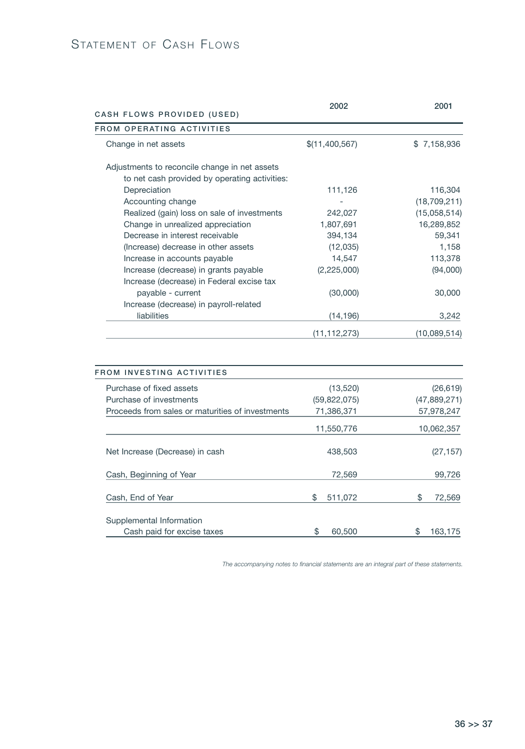# STATEMENT OF CASH FLOWS

|                                               | 2002           | 2001         |
|-----------------------------------------------|----------------|--------------|
| CASH FLOWS PROVIDED (USED)                    |                |              |
| FROM OPERATING ACTIVITIES                     |                |              |
| Change in net assets                          | \$(11,400,567) | \$7,158,936  |
| Adjustments to reconcile change in net assets |                |              |
| to net cash provided by operating activities: |                |              |
| Depreciation                                  | 111,126        | 116,304      |
| Accounting change                             |                | (18,709,211) |
| Realized (gain) loss on sale of investments   | 242,027        | (15,058,514) |
| Change in unrealized appreciation             | 1,807,691      | 16,289,852   |
| Decrease in interest receivable               | 394,134        | 59,341       |
| (Increase) decrease in other assets           | (12,035)       | 1,158        |
| Increase in accounts payable                  | 14,547         | 113,378      |
| Increase (decrease) in grants payable         | (2,225,000)    | (94,000)     |
| Increase (decrease) in Federal excise tax     |                |              |
| payable - current                             | (30,000)       | 30,000       |
| Increase (decrease) in payroll-related        |                |              |
| liabilities                                   | (14, 196)      | 3,242        |
|                                               | (11,112,273)   | (10,089,514) |
|                                               |                |              |

| FROM INVESTING ACTIVITIES                        |                |              |
|--------------------------------------------------|----------------|--------------|
| Purchase of fixed assets                         | (13, 520)      | (26, 619)    |
| Purchase of investments                          | (59, 822, 075) | (47,889,271) |
| Proceeds from sales or maturities of investments | 71.386.371     | 57,978,247   |
|                                                  | 11,550,776     | 10,062,357   |
| Net Increase (Decrease) in cash                  | 438,503        | (27, 157)    |
| Cash, Beginning of Year                          | 72,569         | 99,726       |
| Cash, End of Year                                | 511,072<br>\$  | \$<br>72,569 |
| Supplemental Information                         |                |              |
| Cash paid for excise taxes                       | S<br>60,500    | 163,175<br>S |

*The accompanying notes to financial statements are an integral part of these statements.*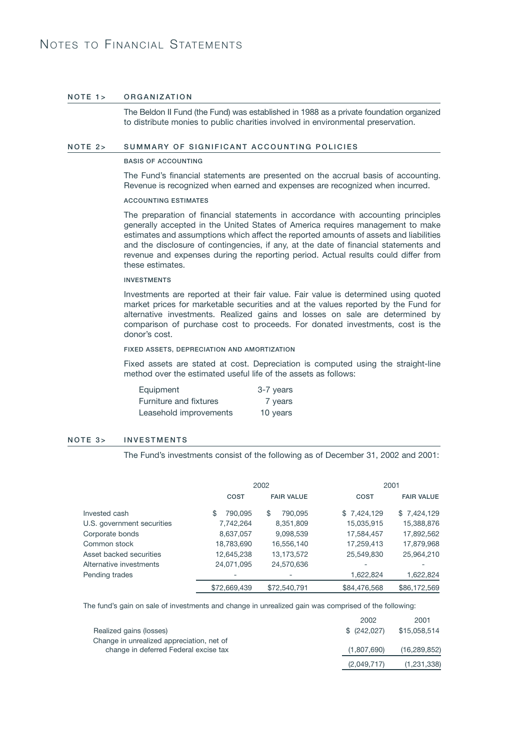#### NOTE 1> ORGANIZATION

The Beldon II Fund (the Fund) was established in 1988 as a private foundation organized to distribute monies to public charities involved in environmental preservation.

#### NOTE 2> SUMMARY OF SIGNIFICANT ACCOUNTING POLICIES

#### BASIS OF ACCOUNTING

The Fund's financial statements are presented on the accrual basis of accounting. Revenue is recognized when earned and expenses are recognized when incurred.

#### ACCOUNTING ESTIMATES

The preparation of financial statements in accordance with accounting principles generally accepted in the United States of America requires management to make estimates and assumptions which affect the reported amounts of assets and liabilities and the disclosure of contingencies, if any, at the date of financial statements and revenue and expenses during the reporting period. Actual results could differ from these estimates.

#### INVESTMENTS

Investments are reported at their fair value. Fair value is determined using quoted market prices for marketable securities and at the values reported by the Fund for alternative investments. Realized gains and losses on sale are determined by comparison of purchase cost to proceeds. For donated investments, cost is the donor's cost.

#### FIXED ASSETS, DEPRECIATION AND AMORTIZATION

Fixed assets are stated at cost. Depreciation is computed using the straight-line method over the estimated useful life of the assets as follows:

| Equipment              | 3-7 years |
|------------------------|-----------|
| Furniture and fixtures | 7 years   |
| Leasehold improvements | 10 years  |

#### NOTE 3> INVESTMENTS

The Fund's investments consist of the following as of December 31, 2002 and 2001:

|                            | 2002         |                   |              |                   |  | 2001 |
|----------------------------|--------------|-------------------|--------------|-------------------|--|------|
|                            | COST         | <b>FAIR VALUE</b> | COST         | <b>FAIR VALUE</b> |  |      |
| Invested cash              | 790.095<br>S | \$<br>790.095     | \$7,424,129  | \$7,424,129       |  |      |
| U.S. government securities | 7,742,264    | 8,351,809         | 15,035,915   | 15,388,876        |  |      |
| Corporate bonds            | 8,637,057    | 9,098,539         | 17,584,457   | 17,892,562        |  |      |
| Common stock               | 18,783,690   | 16,556,140        | 17,259,413   | 17,879,968        |  |      |
| Asset backed securities    | 12,645,238   | 13,173,572        | 25,549,830   | 25,964,210        |  |      |
| Alternative investments    | 24,071,095   | 24,570,636        |              |                   |  |      |
| Pending trades             |              | -                 | 1,622,824    | 1,622,824         |  |      |
|                            | \$72,669,439 | \$72,540,791      | \$84,476,568 | \$86,172,569      |  |      |

The fund's gain on sale of investments and change in unrealized gain was comprised of the following:

|                                           | 2002         | 2001           |
|-------------------------------------------|--------------|----------------|
| Realized gains (losses)                   | \$ (242.027) | \$15,058,514   |
| Change in unrealized appreciation, net of |              |                |
| change in deferred Federal excise tax     | (1.807.690)  | (16, 289, 852) |
|                                           | (2,049,717)  | (1,231,338)    |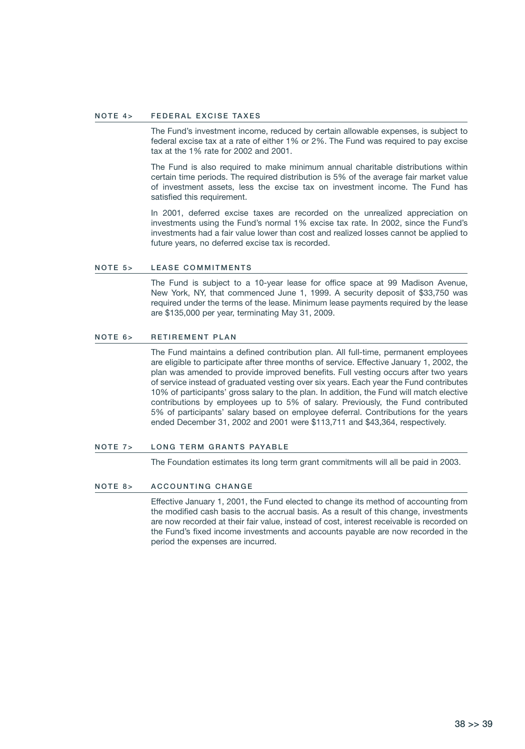#### NOTE 4> FEDERAL EXCISE TAXES

The Fund's investment income, reduced by certain allowable expenses, is subject to federal excise tax at a rate of either 1% or 2%. The Fund was required to pay excise tax at the 1% rate for 2002 and 2001.

The Fund is also required to make minimum annual charitable distributions within certain time periods. The required distribution is 5% of the average fair market value of investment assets, less the excise tax on investment income. The Fund has satisfied this requirement.

In 2001, deferred excise taxes are recorded on the unrealized appreciation on investments using the Fund's normal 1% excise tax rate. In 2002, since the Fund's investments had a fair value lower than cost and realized losses cannot be applied to future years, no deferred excise tax is recorded.

#### NOTE 5> LEASE COMMITMENTS

The Fund is subject to a 10-year lease for office space at 99 Madison Avenue, New York, NY, that commenced June 1, 1999. A security deposit of \$33,750 was required under the terms of the lease. Minimum lease payments required by the lease are \$135,000 per year, terminating May 31, 2009.

#### NOTE 6> RETIREMENT PLAN

The Fund maintains a defined contribution plan. All full-time, permanent employees are eligible to participate after three months of service. Effective January 1, 2002, the plan was amended to provide improved benefits. Full vesting occurs after two years of service instead of graduated vesting over six years. Each year the Fund contributes 10% of participants' gross salary to the plan. In addition, the Fund will match elective contributions by employees up to 5% of salary. Previously, the Fund contributed 5% of participants' salary based on employee deferral. Contributions for the years ended December 31, 2002 and 2001 were \$113,711 and \$43,364, respectively.

#### NOTE 7> LONG TERM GRANTS PAYABLE

The Foundation estimates its long term grant commitments will all be paid in 2003.

#### NOTE 8> ACCOUNTING CHANGE

Effective January 1, 2001, the Fund elected to change its method of accounting from the modified cash basis to the accrual basis. As a result of this change, investments are now recorded at their fair value, instead of cost, interest receivable is recorded on the Fund's fixed income investments and accounts payable are now recorded in the period the expenses are incurred.